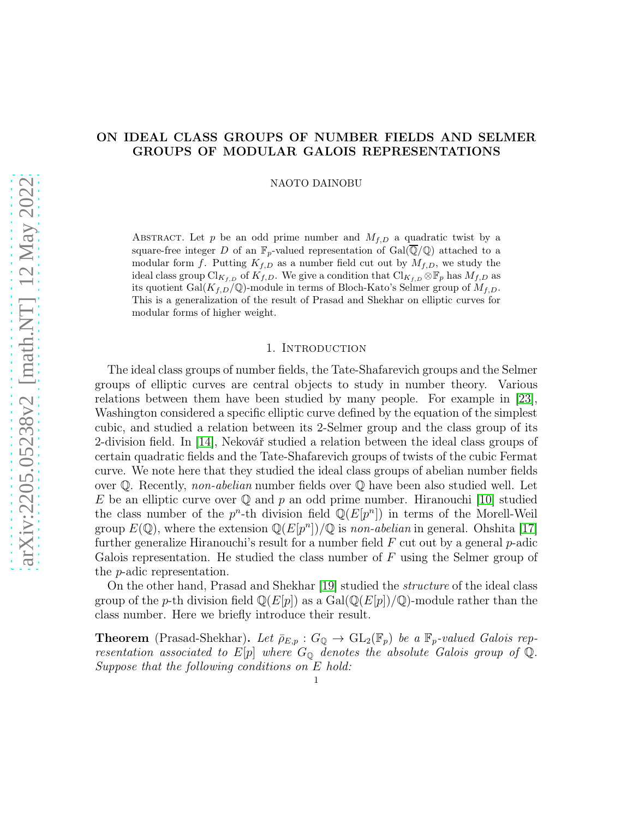## ON IDEAL CLASS GROUPS OF NUMBER FIELDS AND SELMER GROUPS OF MODULAR GALOIS REPRESENTATIONS

NAOTO DAINOBU

ABSTRACT. Let p be an odd prime number and  $M_{f,D}$  a quadratic twist by a square-free integer D of an  $\mathbb{F}_p$ -valued representation of  $Gal(\overline{\mathbb{Q}}/\mathbb{Q})$  attached to a modular form f. Putting  $K_{f,D}$  as a number field cut out by  $M_{f,D}$ , we study the ideal class group Cl<sub>Kf,D</sub> of K<sub>f,D</sub>. We give a condition that Cl<sub>Kf,D</sub>  $\otimes$  F<sub>p</sub> has  $M_{f,D}$  as its quotient Gal $(K_{f,D}/\mathbb{Q})$ -module in terms of Bloch-Kato's Selmer group of  $M_{f,D}$ . This is a generalization of the result of Prasad and Shekhar on elliptic curves for modular forms of higher weight.

#### 1. INTRODUCTION

The ideal class groups of number fields, the Tate-Shafarevich groups and the Selmer groups of elliptic curves are central objects to study in number theory. Various relations between them have been studied by many people. For example in [\[23\]](#page-23-0), Washington considered a specific elliptic curve defined by the equation of the simplest cubic, and studied a relation between its 2-Selmer group and the class group of its 2-division field. In [\[14\]](#page-23-1), Nekovář studied a relation between the ideal class groups of certain quadratic fields and the Tate-Shafarevich groups of twists of the cubic Fermat curve. We note here that they studied the ideal class groups of abelian number fields over Q. Recently, *non-abelian* number fields over Q have been also studied well. Let E be an elliptic curve over  $\mathbb Q$  and p an odd prime number. Hiranouchi [\[10\]](#page-23-2) studied the class number of the  $p^n$ -th division field  $\mathbb{Q}(E[p^n])$  in terms of the Morell-Weil group  $E(\mathbb{Q})$ , where the extension  $\mathbb{Q}(E[p^n])/\mathbb{Q}$  is *non-abelian* in general. Ohshita [\[17\]](#page-23-3) further generalize Hiranouchi's result for a number field  $F$  cut out by a general  $p$ -adic Galois representation. He studied the class number of  $F$  using the Selmer group of the p-adic representation.

On the other hand, Prasad and Shekhar [\[19\]](#page-23-4) studied the *structure* of the ideal class group of the p-th division field  $\mathbb{Q}(E[p])$  as a  $Gal(\mathbb{Q}(E[p])/\mathbb{Q})$ -module rather than the class number. Here we briefly introduce their result.

**Theorem** (Prasad-Shekhar). Let  $\bar{\rho}_{E,p}: G_{\mathbb{Q}} \to GL_2(\mathbb{F}_p)$  be a  $\mathbb{F}_p$ -valued Galois rep*resentation associated to*  $E[p]$  *where*  $G_{\mathbb{Q}}$  *denotes the absolute Galois group of*  $\mathbb{Q}$ *. Suppose that the following conditions on* E *hold:*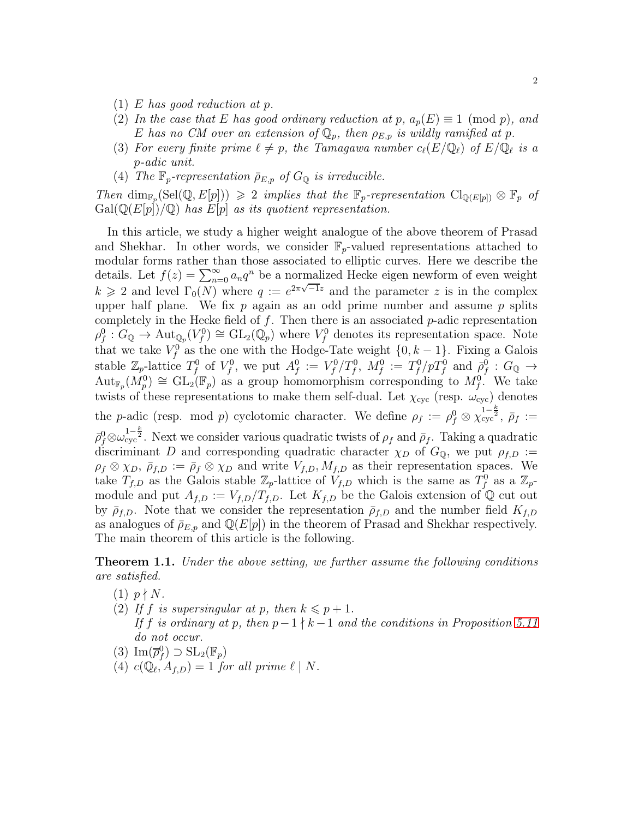- (1) E *has good reduction at* p*.*
- (2) In the case that E has good ordinary reduction at p,  $a_p(E) \equiv 1 \pmod{p}$ , and E has no CM over an extension of  $\mathbb{Q}_p$ , then  $\rho_{E,p}$  is wildly ramified at p.
- (3) For every finite prime  $\ell \neq p$ , the Tamagawa number  $c_{\ell}(E/\mathbb{Q}_{\ell})$  of  $E/\mathbb{Q}_{\ell}$  is a p*-adic unit.*
- (4) *The*  $\mathbb{F}_p$ -representation  $\bar{\rho}_{E,p}$  of  $G_{\mathbb{Q}}$  is irreducible.

 $Then \dim_{\mathbb{F}_p}(\text{Sel}(\mathbb{Q}, E[p])) \geq 2 \implies$  *implies that the*  $\mathbb{F}_p$ -representation  $\text{Cl}_{\mathbb{Q}(E[p])} \otimes \mathbb{F}_p$  of  $Gal(\mathbb{Q}(E[p])/\mathbb{Q})$  *has*  $E[p]$  *as its quotient representation.* 

In this article, we study a higher weight analogue of the above theorem of Prasad and Shekhar. In other words, we consider  $\mathbb{F}_p$ -valued representations attached to modular forms rather than those associated to elliptic curves. Here we describe the details. Let  $f(z) = \sum_{n=0}^{\infty} a_n q^n$  be a normalized Hecke eigen newform of even weight  $k \geq 2$  and level  $\Gamma_0(N)$  where  $q := e^{2\pi \sqrt{-1}z}$  and the parameter z is in the complex upper half plane. We fix  $p$  again as an odd prime number and assume  $p$  splits completely in the Hecke field of  $f$ . Then there is an associated  $p$ -adic representation  $\rho_f^0: G_{\mathbb{Q}} \to \text{Aut}_{\mathbb{Q}_p}(V_f^0) \cong GL_2(\mathbb{Q}_p)$  where  $V_f^0$  denotes its representation space. Note that we take  $V_f^0$  as the one with the Hodge-Tate weight  $\{0, k-1\}$ . Fixing a Galois stable  $\mathbb{Z}_p$ -lattice  $T_f^0$  of  $V_f^0$ , we put  $A_f^0 := V_f^0/T_f^0$ ,  $M_f^0 := T_f^0/pT_f^0$  and  $\bar{\rho}_f^0 : G_{\mathbb{Q}} \to$  ${\rm Aut}_{\mathbb{F}_p}(M_p^0) \cong {\rm GL}_2(\mathbb{F}_p)$  as a group homomorphism corresponding to  $M_f^0$ . We take twists of these representations to make them self-dual. Let  $\chi_{\text{cyc}}$  (resp.  $\omega_{\text{cyc}}$ ) denotes the p-adic (resp. mod p) cyclotomic character. We define  $\rho_f := \rho_f^0 \otimes \chi_{\text{cyc}}^{1-\frac{k}{2}}$ ,  $\bar{\rho}_f :=$  $\bar{\rho}_f^0 \otimes \omega_{\rm cyc}^{1-\frac{k}{2}}$ . Next we consider various quadratic twists of  $\rho_f$  and  $\bar{\rho}_f$ . Taking a quadratic discriminant D and corresponding quadratic character  $\chi_D$  of  $G_{\mathbb{Q}}$ , we put  $\rho_{f,D}$ :=  $\rho_f \otimes \chi_D$ ,  $\bar{\rho}_{f,D} := \bar{\rho}_f \otimes \chi_D$  and write  $V_{f,D}$ ,  $M_{f,D}$  as their representation spaces. We take  $T_{f,D}$  as the Galois stable  $\mathbb{Z}_p$ -lattice of  $V_{f,D}$  which is the same as  $T_f^0$  as a  $\mathbb{Z}_p$ module and put  $A_{f,D} := V_{f,D}/T_{f,D}$ . Let  $K_{f,D}$  be the Galois extension of Q cut out by  $\bar{\rho}_{f,D}$ . Note that we consider the representation  $\bar{\rho}_{f,D}$  and the number field  $K_{f,D}$ as analogues of  $\bar{\rho}_{E,p}$  and  $\mathbb{Q}(E[p])$  in the theorem of Prasad and Shekhar respectively. The main theorem of this article is the following.

<span id="page-1-0"></span>Theorem 1.1. *Under the above setting, we further assume the following conditions are satisfied.*

- $(1)$   $p \nmid N$ .
- (2) If f is supersingular at p, then  $k \leq p+1$ . *If* f *is ordinary at* p*, then* p−1 ∤ k −1 *and the conditions in Proposition [5.11](#page-15-0) do not occur.*
- (3)  $\text{Im}(\overline{\rho}_f^0) \supset \text{SL}_2(\mathbb{F}_p)$
- (4)  $c(\mathbb{Q}_{\ell}, A_{f,D}) = 1$  *for all prime*  $\ell \mid N$ *.*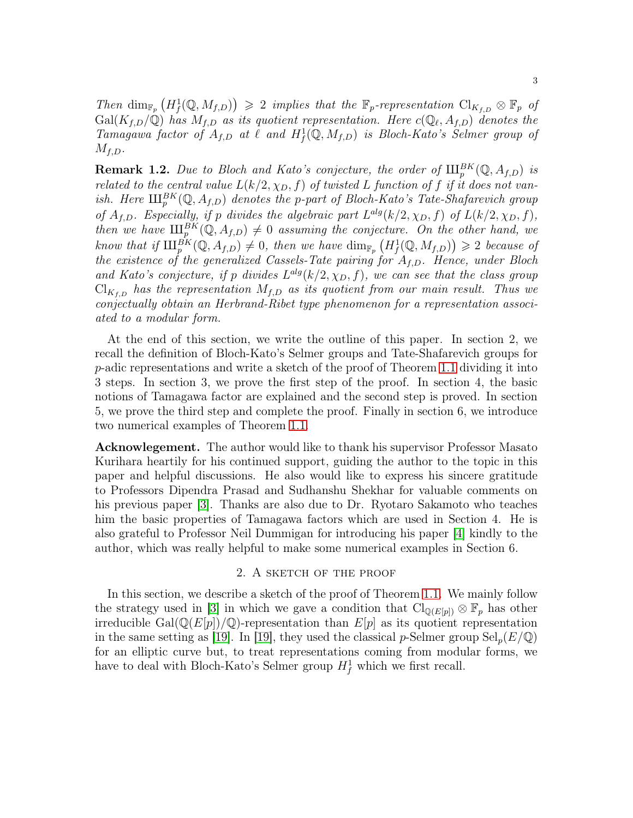Then  $\dim_{\mathbb{F}_p}(H^1_f(\mathbb{Q},M_{f,D})) \geq 2$  *implies that the*  $\mathbb{F}_p$ -representation  $\text{Cl}_{K_{f,D}} \otimes \mathbb{F}_p$  of  $Gal(K_{f,D}/\mathbb{Q})$  has  $M_{f,D}$  as its quotient representation. Here  $c(\mathbb{Q}_{\ell}, A_{f,D})$  denotes the *Tamagawa factor of*  $A_{f,D}$  *at*  $\ell$  *and*  $H_f^1(\mathbb{Q}, M_{f,D})$  *is Bloch-Kato's Selmer group of*  $M_{f,D}$ .

**Remark 1.2.** Due to Bloch and Kato's conjecture, the order of  $\mathop{\rm III}\nolimits_p^{BK}(\mathbb{Q},A_{f,D})$  is *related to the central value*  $L(k/2, \chi_D, f)$  *of twisted* L *function of* f *if it does not vanish.* Here  $\amalg_{p}^{BK}(\mathbb{Q},A_{f,D})$  *denotes the p-part of Bloch-Kato's Tate-Shafarevich group of*  $A_{f,D}$ *. Especially, if* p *divides the algebraic part*  $L^{alg}(k/2, \chi_D, f)$  *of*  $L(k/2, \chi_D, f)$ *, then* we have  $\coprod_{p}^{BK}(\mathbb{Q}, A_{f,D}) \neq 0$  assuming the conjecture. On the other hand, we know that if  $\mathop{\rm III}\nolimits_p^{BK}(\mathbb{Q},A_{f,D}) \neq 0$ , then we have  $\dim_{\mathbb{F}_p}\left(H^1_f(\mathbb{Q},M_{f,D})\right) \geq 2$  because of *the existence of the generalized Cassels-Tate pairing for* Af,D*. Hence, under Bloch* and Kato's conjecture, if p divides  $L^{alg}(k/2, \chi_D, f)$ , we can see that the class group  $\mathrm{Cl}_{K_{f,D}}$  *has the representation*  $M_{f,D}$  *as its quotient from our main result. Thus we conjectually obtain an Herbrand-Ribet type phenomenon for a representation associated to a modular form.*

At the end of this section, we write the outline of this paper. In section 2, we recall the definition of Bloch-Kato's Selmer groups and Tate-Shafarevich groups for  $p$ -adic representations and write a sketch of the proof of Theorem [1.1](#page-1-0) dividing it into 3 steps. In section 3, we prove the first step of the proof. In section 4, the basic notions of Tamagawa factor are explained and the second step is proved. In section 5, we prove the third step and complete the proof. Finally in section 6, we introduce two numerical examples of Theorem [1.1.](#page-1-0)

Acknowlegement. The author would like to thank his supervisor Professor Masato Kurihara heartily for his continued support, guiding the author to the topic in this paper and helpful discussions. He also would like to express his sincere gratitude to Professors Dipendra Prasad and Sudhanshu Shekhar for valuable comments on his previous paper [\[3\]](#page-22-0). Thanks are also due to Dr. Ryotaro Sakamoto who teaches him the basic properties of Tamagawa factors which are used in Section 4. He is also grateful to Professor Neil Dummigan for introducing his paper [\[4\]](#page-22-1) kindly to the author, which was really helpful to make some numerical examples in Section 6.

#### 2. A sketch of the proof

In this section, we describe a sketch of the proof of Theorem [1.1.](#page-1-0) We mainly follow the strategy used in [\[3\]](#page-22-0) in which we gave a condition that  $\text{Cl}_{\mathbb{Q}(E[p])} \otimes \mathbb{F}_p$  has other irreducible Gal $(\mathbb{Q}(E[p])/\mathbb{Q})$ -representation than  $E[p]$  as its quotient representation in the same setting as [\[19\]](#page-23-4). In [19], they used the classical p-Selmer group  $\text{Sel}_p(E/\mathbb{Q})$ for an elliptic curve but, to treat representations coming from modular forms, we have to deal with Bloch-Kato's Selmer group  $H_f^1$  which we first recall.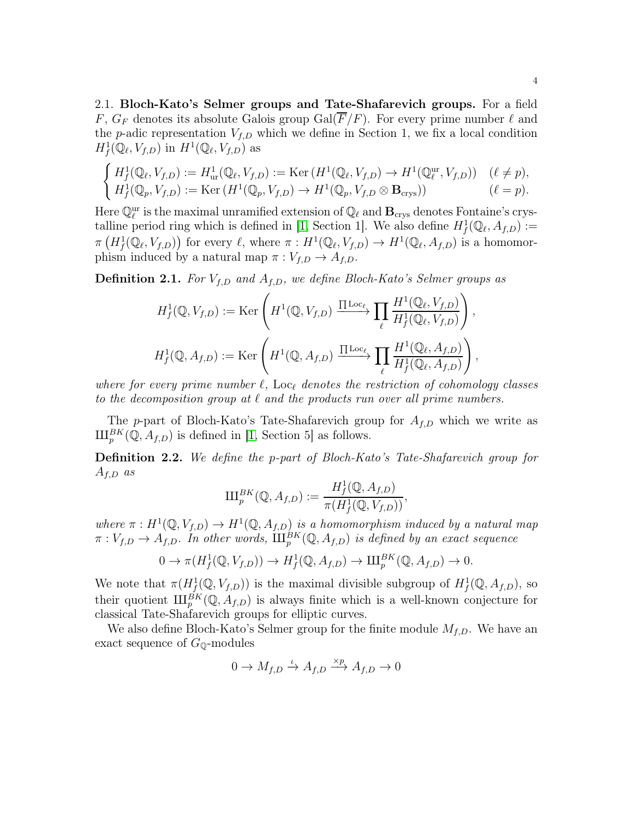2.1. Bloch-Kato's Selmer groups and Tate-Shafarevich groups. For a field F,  $G_F$  denotes its absolute Galois group Gal( $\overline{F}/F$ ). For every prime number  $\ell$  and the p-adic representation  $V_{f,D}$  which we define in Section 1, we fix a local condition  $H^1_f(\mathbb{Q}_\ell, V_{f,D})$  in  $H^1(\mathbb{Q}_\ell, V_{f,D})$  as

$$
\begin{cases}\nH_f^1(\mathbb{Q}_\ell, V_{f,D}) := H_{\text{ur}}^1(\mathbb{Q}_\ell, V_{f,D}) := \text{Ker}\left(H^1(\mathbb{Q}_\ell, V_{f,D}) \to H^1(\mathbb{Q}_\ell^{\text{ur}}, V_{f,D})\right) & (\ell \neq p), \\
H_f^1(\mathbb{Q}_p, V_{f,D}) := \text{Ker}\left(H^1(\mathbb{Q}_p, V_{f,D}) \to H^1(\mathbb{Q}_p, V_{f,D} \otimes \mathbf{B}_{\text{crys}})\right) & (\ell = p).\n\end{cases}
$$

Here  $\mathbb{Q}_{\ell}^{\text{ur}}$  is the maximal unramified extension of  $\mathbb{Q}_{\ell}$  and  $\mathbf{B}_{\text{crys}}$  denotes Fontaine's crys-talline period ring which is defined in [\[1,](#page-22-2) Section 1]. We also define  $H^1_f(\mathbb{Q}_\ell, A_{f,D}) :=$  $\pi\left(H_f^1(\mathbb{Q}_\ell, V_{f,D})\right)$  for every  $\ell$ , where  $\pi: H^1(\mathbb{Q}_\ell, V_{f,D}) \to H^1(\mathbb{Q}_\ell, A_{f,D})$  is a homomorphism induced by a natural map  $\pi : V_{f,D} \to A_{f,D}$ .

<span id="page-3-0"></span>**Definition 2.1.** For  $V_{f,D}$  and  $A_{f,D}$ , we define Bloch-Kato's Selmer groups as

$$
H_f^1(\mathbb{Q}, V_{f,D}) := \text{Ker}\left(H^1(\mathbb{Q}, V_{f,D}) \xrightarrow{\prod \text{Loc}_{\ell}} \prod_{\ell} \frac{H^1(\mathbb{Q}_{\ell}, V_{f,D})}{H_f^1(\mathbb{Q}_{\ell}, V_{f,D})}\right),
$$
  

$$
H_f^1(\mathbb{Q}, A_{f,D}) := \text{Ker}\left(H^1(\mathbb{Q}, A_{f,D}) \xrightarrow{\prod \text{Loc}_{\ell}} \prod_{\ell} \frac{H^1(\mathbb{Q}_{\ell}, A_{f,D})}{H_f^1(\mathbb{Q}_{\ell}, A_{f,D})}\right),
$$

*where for every prime number* ℓ*,* Loc<sup>ℓ</sup> *denotes the restriction of cohomology classes to the decomposition group at*  $\ell$  *and the products run over all prime numbers.* 

The p-part of Bloch-Kato's Tate-Shafarevich group for  $A_{f,D}$  which we write as  $\amalg_{p}^{BK}(\mathbb{Q},A_{f,D})$  is defined in [\[1,](#page-22-2) Section 5] as follows.

Definition 2.2. *We define the* p*-part of Bloch-Kato's Tate-Shafarevich group for* Af,D *as*

$$
\mathrm{III}_p^{BK}(\mathbb{Q}, A_{f,D}) := \frac{H^1_f(\mathbb{Q}, A_{f,D})}{\pi(H^1_f(\mathbb{Q}, V_{f,D}))},
$$

where  $\pi: H^1(\mathbb{Q}, V_{f,D}) \to H^1(\mathbb{Q}, A_{f,D})$  *is a homomorphism induced by a natural map*  $\pi: V_{f,D} \to A_{f,D}$ . In other words,  $\coprod_{p}^{BK}(\mathbb{Q},A_{f,D})$  is defined by an exact sequence

$$
0 \to \pi(H^1_f(\mathbb{Q}, V_{f,D})) \to H^1_f(\mathbb{Q}, A_{f,D}) \to \amalg_{p}^{BK}(\mathbb{Q}, A_{f,D}) \to 0.
$$

We note that  $\pi(H^1_f(\mathbb{Q}, V_{f,D}))$  is the maximal divisible subgroup of  $H^1_f(\mathbb{Q}, A_{f,D})$ , so their quotient  $\amalg_{p}^{BK}(\mathbb{Q}, A_{f,D})$  is always finite which is a well-known conjecture for classical Tate-Shafarevich groups for elliptic curves.

We also define Bloch-Kato's Selmer group for the finite module  $M_{f,D}$ . We have an exact sequence of  $G_{\mathbb{Q}}$ -modules

$$
0 \to M_{f,D} \xrightarrow{\iota} A_{f,D} \xrightarrow{\times p} A_{f,D} \to 0
$$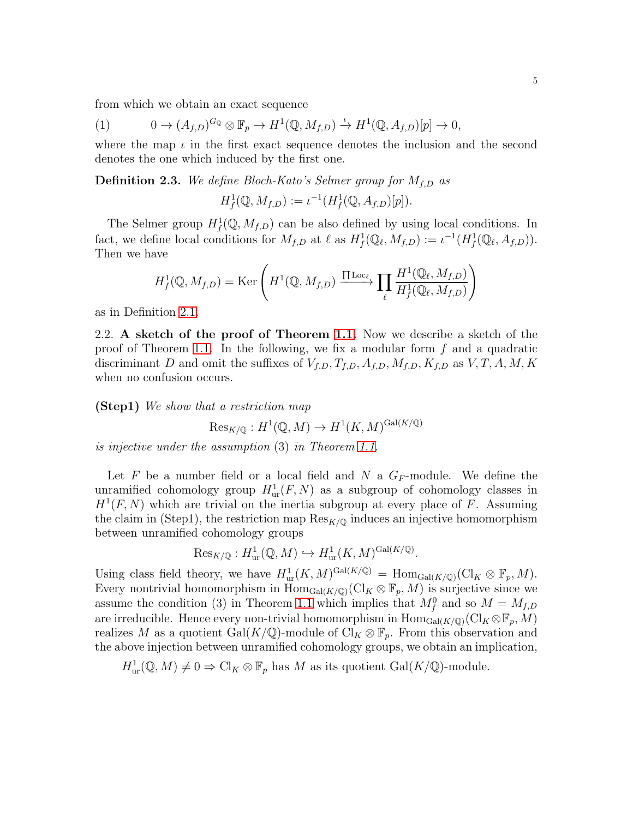from which we obtain an exact sequence

<span id="page-4-1"></span>(1) 
$$
0 \to (A_{f,D})^{G_Q} \otimes \mathbb{F}_p \to H^1(\mathbb{Q}, M_{f,D}) \xrightarrow{\iota} H^1(\mathbb{Q}, A_{f,D})[p] \to 0,
$$

where the map  $\iota$  in the first exact sequence denotes the inclusion and the second denotes the one which induced by the first one.

<span id="page-4-0"></span>**Definition 2.3.** We define Bloch-Kato's Selmer group for  $M_{f,D}$  as

$$
H^1_f(\mathbb{Q}, M_{f,D}) := \iota^{-1}(H^1_f(\mathbb{Q}, A_{f,D})[p]).
$$

The Selmer group  $H^1_f(\mathbb{Q},M_{f,D})$  can be also defined by using local conditions. In fact, we define local conditions for  $M_{f,D}$  at  $\ell$  as  $H^1_f(\mathbb{Q}_\ell, M_{f,D}) := \iota^{-1}(H^1_f(\mathbb{Q}_\ell, A_{f,D}))$ . Then we have

$$
H_f^1(\mathbb{Q}, M_{f,D}) = \text{Ker}\left(H^1(\mathbb{Q}, M_{f,D}) \xrightarrow{\prod \text{Loc}_{\ell}} \prod_{\ell} \frac{H^1(\mathbb{Q}_{\ell}, M_{f,D})}{H_f^1(\mathbb{Q}_{\ell}, M_{f,D})}\right)
$$

as in Definition [2.1.](#page-3-0)

2.2. A sketch of the proof of Theorem [1.1.](#page-1-0) Now we describe a sketch of the proof of Theorem [1.1.](#page-1-0) In the following, we fix a modular form  $f$  and a quadratic discriminant D and omit the suffixes of  $V_{f,D}$ ,  $T_{f,D}$ ,  $A_{f,D}$ ,  $M_{f,D}$ ,  $K_{f,D}$  as  $V, T, A, M, K$ when no confusion occurs.

(Step1) *We show that a restriction map*

$$
\operatorname{Res}_{K/\mathbb{Q}}: H^1(\mathbb{Q}, M) \to H^1(K, M)^{\operatorname{Gal}(K/\mathbb{Q})}
$$

*is injective under the assumption* (3) *in Theorem [1.1.](#page-1-0)*

Let F be a number field or a local field and N a  $G_F$ -module. We define the unramified cohomology group  $H^1_{ur}(F, N)$  as a subgroup of cohomology classes in  $H<sup>1</sup>(F, N)$  which are trivial on the inertia subgroup at every place of F. Assuming the claim in (Step1), the restriction map  $\text{Res}_{K/\mathbb{Q}}$  induces an injective homomorphism between unramified cohomology groups

$$
\mathrm{Res}_{K/\mathbb{Q}}: H^1_{\mathrm{ur}}(\mathbb{Q}, M) \hookrightarrow H^1_{\mathrm{ur}}(K, M)^{\mathrm{Gal}(K/\mathbb{Q})}.
$$

Using class field theory, we have  $H^1_{\text{ur}}(K,M)^{\text{Gal}(K/\mathbb{Q})} = \text{Hom}_{\text{Gal}(K/\mathbb{Q})}(\text{Cl}_K \otimes \mathbb{F}_p, M).$ Every nontrivial homomorphism in  $\text{Hom}_{\text{Gal}(K/\mathbb{Q})}(\text{Cl}_K \otimes \mathbb{F}_p, M)$  is surjective since we assume the condition (3) in Theorem [1.1](#page-1-0) which implies that  $M_f^0$  and so  $M = M_{f,D}$ are irreducible. Hence every non-trivial homomorphism in  $\text{Hom}_{\text{Gal}(K/\mathbb{Q})}(\text{Cl}_K \otimes \mathbb{F}_p, M)$ realizes M as a quotient Gal(K/Q)-module of  $\text{Cl}_K \otimes \mathbb{F}_p$ . From this observation and the above injection between unramified cohomology groups, we obtain an implication,

 $H^1_{\text{ur}}(\mathbb{Q},M) \neq 0 \Rightarrow \text{Cl}_K \otimes \mathbb{F}_p$  has M as its quotient  $\text{Gal}(K/\mathbb{Q})$ -module.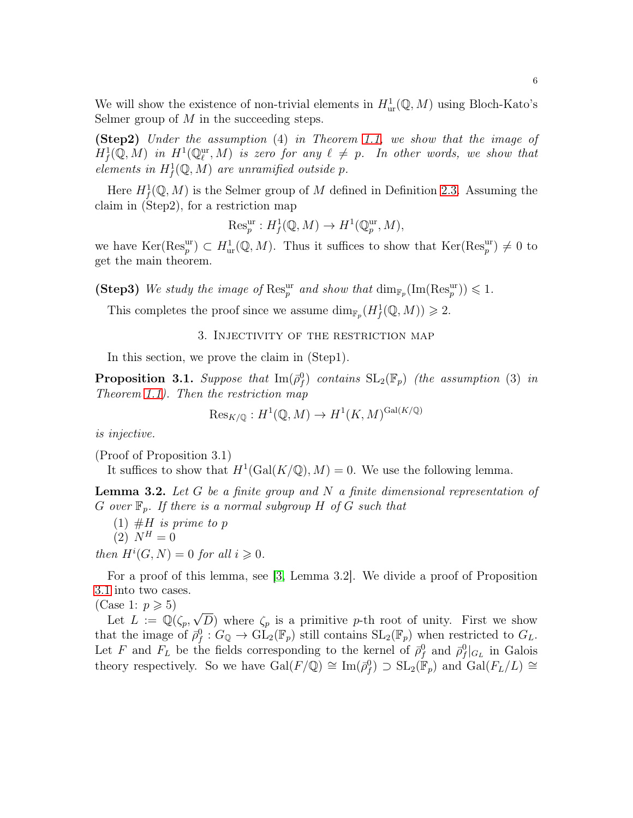We will show the existence of non-trivial elements in  $H^1_{\text{ur}}(\mathbb{Q}, M)$  using Bloch-Kato's Selmer group of  $M$  in the succeeding steps.

(Step2) *Under the assumption* (4) *in Theorem [1.1,](#page-1-0) we show that the image of*  $H^1_f(\mathbb{Q},M)$  in  $H^1(\mathbb{Q}_\ell^{\text{ur}},M)$  is zero for any  $\ell \neq p$ . In other words, we show that *elements in*  $H_f^1(\mathbb{Q}, M)$  *are unramified outside p.* 

Here  $H^1_f(\mathbb{Q}, M)$  is the Selmer group of M defined in Definition [2.3.](#page-4-0) Assuming the claim in (Step2), for a restriction map

$$
\mathrm{Res}_p^{\mathrm{ur}}: H^1_f(\mathbb{Q}, M) \to H^1(\mathbb{Q}_p^{\mathrm{ur}}, M),
$$

we have  $\text{Ker}(\text{Res}_p^{\text{ur}}) \subset H^1_{\text{ur}}(\mathbb{Q},M)$ . Thus it suffices to show that  $\text{Ker}(\text{Res}_p^{\text{ur}}) \neq 0$  to get the main theorem.

(Step3) We study the image of  $\text{Res}_{p}^{ur}$  and show that  $\dim_{\mathbb{F}_p}(\text{Im}(\text{Res}_{p}^{ur})) \leq 1$ .

This completes the proof since we assume  $\dim_{\mathbb{F}_p}(H^1_f(\mathbb{Q},M)) \geq 2$ .

#### 3. Injectivity of the restriction map

In this section, we prove the claim in (Step1).

<span id="page-5-0"></span>**Proposition 3.1.** Suppose that  $\text{Im}(\bar{\rho}_f^0)$  contains  $\text{SL}_2(\mathbb{F}_p)$  (the assumption (3) in *Theorem [1.1\)](#page-1-0). Then the restriction map*

$$
\text{Res}_{K/\mathbb{Q}} : H^1(\mathbb{Q}, M) \to H^1(K, M)^{\text{Gal}(K/\mathbb{Q})}
$$

*is injective.*

(Proof of Proposition 3.1)

It suffices to show that  $H^1(\text{Gal}(K/\mathbb{Q}), M) = 0$ . We use the following lemma.

<span id="page-5-1"></span>Lemma 3.2. *Let* G *be a finite group and* N *a finite dimensional representation of*  $G$  *over*  $\mathbb{F}_n$ *. If there is a normal subgroup*  $H$  *of*  $G$  *such that* 

 $(1)$  #H *is prime to p*  $(2) N<sup>H</sup> = 0$ 

*then*  $H^i(G, N) = 0$  *for all*  $i \geq 0$ *.* 

For a proof of this lemma, see [\[3,](#page-22-0) Lemma 3.2]. We divide a proof of Proposition [3.1](#page-5-0) into two cases.

(Case 1:  $p \geqslant 5$ )

Let  $L := \mathbb{Q}(\zeta_p, \sqrt{D})$  where  $\zeta_p$  is a primitive p-th root of unity. First we show that the image of  $\bar{\rho}_f^0: G_{\mathbb{Q}} \to \mathrm{GL}_2(\mathbb{F}_p)$  still contains  $\mathrm{SL}_2(\mathbb{F}_p)$  when restricted to  $G_L$ . Let F and  $F_L$  be the fields corresponding to the kernel of  $\bar{\rho}_f^0$  and  $\bar{\rho}_f^0|_{G_L}$  in Galois theory respectively. So we have  $Gal(F/\mathbb{Q}) \cong Im(\bar{\rho}_f^0) \supset SL_2(\mathbb{F}_p)$  and  $Gal(F_L/L) \cong$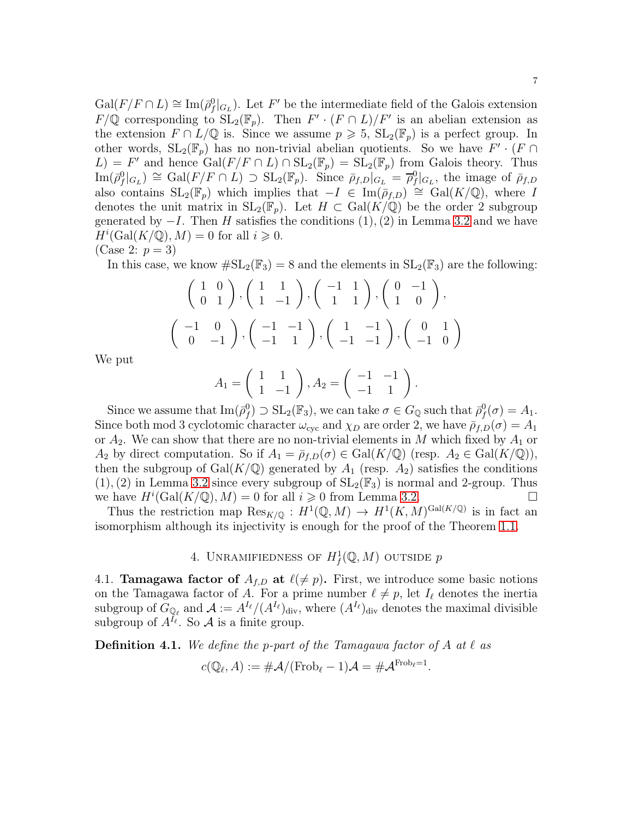$Gal(F/F \cap L) \cong Im(\bar{\rho}_f^0|_{G_L})$ . Let F' be the intermediate field of the Galois extension  $F/\mathbb{Q}$  corresponding to  $SL_2(\mathbb{F}_p)$ . Then  $F' \cdot (F \cap L)/F'$  is an abelian extension as the extension  $F \cap L/\mathbb{Q}$  is. Since we assume  $p \geq 5$ ,  $SL_2(\mathbb{F}_p)$  is a perfect group. In other words,  $SL_2(\mathbb{F}_p)$  has no non-trivial abelian quotients. So we have  $F' \cdot (F \cap \mathbb{F}_p)$  $(L) = F'$  and hence  $Gal(F/F \cap L) \cap SL_2(\mathbb{F}_p) = SL_2(\mathbb{F}_p)$  from Galois theory. Thus  $\text{Im}(\bar{\rho}_f^0|_{G_L}) \cong \text{Gal}(F/F \cap L) \supset \text{SL}_2(\mathbb{F}_p)$ . Since  $\bar{\rho}_{f,D}|_{G_L} = \bar{\rho}_f^0|_{G_L}$ , the image of  $\bar{\rho}_{f,D}$ also contains  $SL_2(\mathbb{F}_p)$  which implies that  $-I \in \text{Im}(\bar{\rho}_{f,D}) \cong \text{Gal}(K/\mathbb{Q})$ , where I denotes the unit matrix in  $SL_2(\mathbb{F}_p)$ . Let  $H \subset Gal(K/\mathbb{Q})$  be the order 2 subgroup generated by  $-I$ . Then H satisfies the conditions  $(1), (2)$  in Lemma [3.2](#page-5-1) and we have  $H^i(\text{Gal}(K/\mathbb{Q}),M)=0$  for all  $i\geqslant 0$ .

$$
(\text{Case 2: } p=3)
$$

In this case, we know  $\#\mathrm{SL}_2(\mathbb{F}_3) = 8$  and the elements in  $\mathrm{SL}_2(\mathbb{F}_3)$  are the following:

$$
\begin{pmatrix} 1 & 0 \ 0 & 1 \end{pmatrix}, \begin{pmatrix} 1 & 1 \ 1 & -1 \end{pmatrix}, \begin{pmatrix} -1 & 1 \ 1 & 1 \end{pmatrix}, \begin{pmatrix} 0 & -1 \ 1 & 0 \end{pmatrix}, \\ \begin{pmatrix} -1 & 0 \ 0 & -1 \end{pmatrix}, \begin{pmatrix} -1 & -1 \ -1 & 1 \end{pmatrix}, \begin{pmatrix} 1 & -1 \ -1 & -1 \end{pmatrix}, \begin{pmatrix} 0 & 1 \ -1 & 0 \end{pmatrix}
$$

We put

$$
A_1 = \begin{pmatrix} 1 & 1 \\ 1 & -1 \end{pmatrix}, A_2 = \begin{pmatrix} -1 & -1 \\ -1 & 1 \end{pmatrix}.
$$

Since we assume that  $\text{Im}(\bar{\rho}_f^0) \supset \text{SL}_2(\mathbb{F}_3)$ , we can take  $\sigma \in G_{\mathbb{Q}}$  such that  $\bar{\rho}_f^0(\sigma) = A_1$ . Since both mod 3 cyclotomic character  $\omega_{\text{cyc}}$  and  $\chi_D$  are order 2, we have  $\bar{\rho}_{f,D}(\sigma) = A_1$ or  $A_2$ . We can show that there are no non-trivial elements in M which fixed by  $A_1$  or  $A_2$  by direct computation. So if  $A_1 = \bar{\rho}_{f,D}(\sigma) \in \text{Gal}(K/\mathbb{Q})$  (resp.  $A_2 \in \text{Gal}(K/\mathbb{Q})$ ), then the subgroup of Gal( $K/\mathbb{Q}$ ) generated by  $A_1$  (resp.  $A_2$ ) satisfies the conditions  $(1), (2)$  in Lemma [3.2](#page-5-1) since every subgroup of  $SL_2(\mathbb{F}_3)$  is normal and 2-group. Thus we have  $H^i(\text{Gal}(K/\mathbb{Q}), M) = 0$  for all  $i \geq 0$  from Lemma [3.2.](#page-5-1)

Thus the restriction map  $\text{Res}_{K/\mathbb{Q}} : H^1(\mathbb{Q}, M) \to H^1(K, M)^{\text{Gal}(K/\mathbb{Q})}$  is in fact an isomorphism although its injectivity is enough for the proof of the Theorem [1.1.](#page-1-0)

# 4. UNRAMIFIEDNESS OF  $H^1_f(\mathbb{Q},M)$  outside p

4.1. **Tamagawa factor of**  $A_{f,D}$  at  $\ell(\neq p)$ . First, we introduce some basic notions on the Tamagawa factor of A. For a prime number  $\ell \neq p$ , let  $I_{\ell}$  denotes the inertia subgroup of  $G_{\mathbb{Q}_{\ell}}$  and  $\mathcal{A} := A^{I_{\ell}}/(A^{I_{\ell}})_{\text{div}}$ , where  $(A^{I_{\ell}})_{\text{div}}$  denotes the maximal divisible subgroup of  $A^{I_{\ell}}$ . So A is a finite group.

Definition 4.1. *We define the* p*-part of the Tamagawa factor of* A *at* ℓ *as*

$$
c(\mathbb{Q}_{\ell}, A) := \# \mathcal{A}/(\mathrm{Frob}_{\ell} - 1)\mathcal{A} = \# \mathcal{A}^{\mathrm{Frob}_{\ell} = 1}.
$$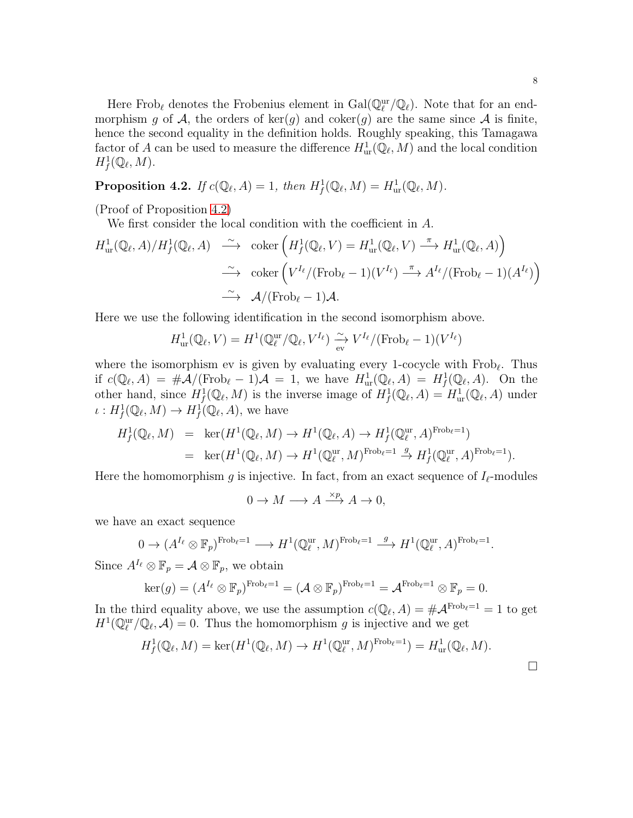Here Frob<sub>ℓ</sub> denotes the Frobenius element in  $Gal(\mathbb{Q}_\ell^{\text{ur}}/\mathbb{Q}_\ell)$ . Note that for an endmorphism g of A, the orders of ker(g) and coker(g) are the same since A is finite, hence the second equality in the definition holds. Roughly speaking, this Tamagawa factor of A can be used to measure the difference  $H^1_{\text{ur}}(\mathbb{Q}_\ell, M)$  and the local condition  $H^1_f(\mathbb{Q}_\ell,M).$ 

<span id="page-7-0"></span>**Proposition 4.2.** *If*  $c(\mathbb{Q}_{\ell}, A) = 1$ *, then*  $H_f^1(\mathbb{Q}_{\ell}, M) = H_{\text{ur}}^1(\mathbb{Q}_{\ell}, M)$ *.* 

(Proof of Proposition [4.2\)](#page-7-0)

We first consider the local condition with the coefficient in A.

$$
H_{\text{ur}}^1(\mathbb{Q}_{\ell}, A)/H_f^1(\mathbb{Q}_{\ell}, A) \xrightarrow{\sim} \text{coker}\left(H_f^1(\mathbb{Q}_{\ell}, V) = H_{\text{ur}}^1(\mathbb{Q}_{\ell}, V) \xrightarrow{\pi} H_{\text{ur}}^1(\mathbb{Q}_{\ell}, A)\right)
$$
  

$$
\xrightarrow{\sim} \text{coker}\left(V^{I_{\ell}}/(\text{Frob}_{\ell} - 1)(V^{I_{\ell}}) \xrightarrow{\pi} A^{I_{\ell}}/(\text{Frob}_{\ell} - 1)(A^{I_{\ell}})\right)
$$
  

$$
\xrightarrow{\sim} \mathcal{A}/(\text{Frob}_{\ell} - 1)\mathcal{A}.
$$

Here we use the following identification in the second isomorphism above.

$$
H^1_{\text{ur}}(\mathbb{Q}_\ell, V) = H^1(\mathbb{Q}_\ell^{\text{ur}}/\mathbb{Q}_\ell, V^{I_\ell}) \xrightarrow{\sim} V^{I_\ell}/(\text{Frob}_\ell - 1)(V^{I_\ell})
$$

where the isomorphism ev is given by evaluating every 1-cocycle with  $Frob_{\ell}$ . Thus if  $c(\mathbb{Q}_{\ell}, A) = \#A/(\text{Frob}_{\ell} - 1)A = 1$ , we have  $H^1_{\text{ur}}(\mathbb{Q}_{\ell}, A) = H^1_f(\mathbb{Q}_{\ell}, A)$ . On the other hand, since  $H^1_f(\mathbb{Q}_\ell,M)$  is the inverse image of  $H^1_f(\mathbb{Q}_\ell,A) = H^1_{ur}(\mathbb{Q}_\ell,A)$  under  $\iota: H^1_f(\mathbb{Q}_\ell, M) \to H^1_f(\mathbb{Q}_\ell, A)$ , we have

$$
H_f^1(\mathbb{Q}_\ell, M) = \ker(H^1(\mathbb{Q}_\ell, M) \to H^1(\mathbb{Q}_\ell, A) \to H_f^1(\mathbb{Q}_\ell^{ur}, A)^{\text{Frob}_\ell = 1})
$$
  
=  $\ker(H^1(\mathbb{Q}_\ell, M) \to H^1(\mathbb{Q}_\ell^{ur}, M)^{\text{Frob}_\ell = 1} \stackrel{g}{\to} H_f^1(\mathbb{Q}_\ell^{ur}, A)^{\text{Frob}_\ell = 1}).$ 

Here the homomorphism g is injective. In fact, from an exact sequence of  $I_{\ell}$ -modules

$$
0 \to M \longrightarrow A \xrightarrow{\times p} A \to 0,
$$

we have an exact sequence

$$
0 \to (A^{I_{\ell}} \otimes \mathbb{F}_p)^{\text{Frob}_{\ell} = 1} \longrightarrow H^1(\mathbb{Q}_{\ell}^{\text{ur}}, M)^{\text{Frob}_{\ell} = 1} \stackrel{g}{\longrightarrow} H^1(\mathbb{Q}_{\ell}^{\text{ur}}, A)^{\text{Frob}_{\ell} = 1}.
$$

Since  $A^{I_{\ell}} \otimes \mathbb{F}_p = A \otimes \mathbb{F}_p$ , we obtain

$$
\ker(g) = (A^{I_{\ell}} \otimes \mathbb{F}_p)^{\text{Frob}_{\ell} = 1} = (\mathcal{A} \otimes \mathbb{F}_p)^{\text{Frob}_{\ell} = 1} = \mathcal{A}^{\text{Frob}_{\ell} = 1} \otimes \mathbb{F}_p = 0.
$$

In the third equality above, we use the assumption  $c(\mathbb{Q}_{\ell}, A) = \#A^{\text{Frob}_{\ell} = 1} = 1$  to get  $H^1(\mathbb{Q}_\ell^{\text{ur}}/\mathbb{Q}_\ell,\mathcal{A})=0.$  Thus the homomorphism g is injective and we get

$$
H^1_f(\mathbb{Q}_\ell,M)=\ker(H^1(\mathbb{Q}_\ell,M)\to H^1(\mathbb{Q}_\ell^{\mathrm{ur}},M)^{\mathrm{Frob}_\ell=1})=H^1_{\mathrm{ur}}(\mathbb{Q}_\ell,M).
$$

 $\Box$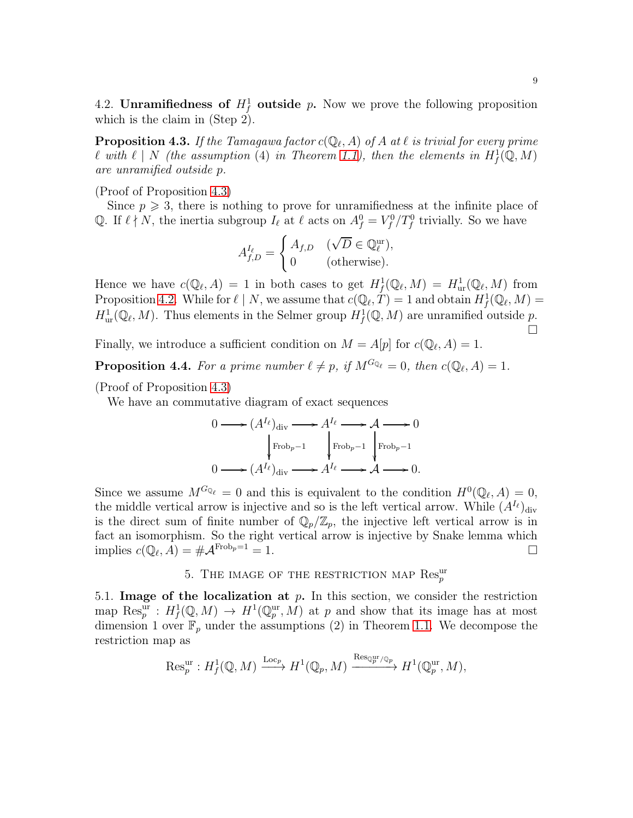4.2. Unramifiedness of  $H_f^1$  outside p. Now we prove the following proposition which is the claim in (Step 2).

<span id="page-8-0"></span> $\bf{Proposition~4.3.}$  *If the Tamagawa factor*  $c(\mathbb{Q}_{\ell},A)$  *of*  $A$  *at*  $\ell$  *is trivial for every prime*  $\ell$  with  $\ell \mid N$  (the assumption (4) in Theorem [1.1\)](#page-1-0), then the elements in  $H^1_f(\mathbb{Q}, M)$ *are unramified outside* p*.*

(Proof of Proposition [4.3\)](#page-8-0)

Since  $p \geqslant 3$ , there is nothing to prove for unramifiedness at the infinite place of Q. If  $\ell \nmid N$ , the inertia subgroup  $I_{\ell}$  at  $\ell$  acts on  $A_f^0 = V_f^0/T_f^0$  trivially. So we have

$$
A_{f,D}^{I_{\ell}} = \begin{cases} A_{f,D} & (\sqrt{D} \in \mathbb{Q}_{\ell}^{\text{ur}}), \\ 0 & (\text{otherwise}). \end{cases}
$$

Hence we have  $c(\mathbb{Q}_{\ell}, A) = 1$  in both cases to get  $H^1_f(\mathbb{Q}_{\ell}, M) = H^1_{ur}(\mathbb{Q}_{\ell}, M)$  from Proposition [4.2.](#page-7-0) While for  $\ell \mid N$ , we assume that  $c(\mathbb{Q}_{\ell}, T) = 1$  and obtain  $H^1_f(\mathbb{Q}_{\ell}, M) =$  $H^1_{\text{ur}}(\mathbb{Q}_\ell, M)$ . Thus elements in the Selmer group  $H^1_f(\mathbb{Q}, M)$  are unramified outside p.  $\Box$ 

Finally, we introduce a sufficient condition on  $M = A[p]$  for  $c(\mathbb{Q}_{\ell}, A) = 1$ .

**Proposition 4.4.** For a prime number  $\ell \neq p$ , if  $M^{G_{\mathbb{Q}_{\ell}}} = 0$ , then  $c(\mathbb{Q}_{\ell}, A) = 1$ .

(Proof of Proposition [4.3\)](#page-8-0)

We have an commutative diagram of exact sequences

$$
0 \longrightarrow (A^{I_{\ell}})_{\text{div}} \longrightarrow A^{I_{\ell}} \longrightarrow A \longrightarrow 0
$$
  
\n
$$
\downarrow \text{Frob}_{p-1} \qquad \downarrow \text{Frob}_{p-1} \qquad \downarrow \text{Frob}_{p-1}
$$
  
\n
$$
0 \longrightarrow (A^{I_{\ell}})_{\text{div}} \longrightarrow A^{I_{\ell}} \longrightarrow A \longrightarrow 0.
$$

Since we assume  $M^{G_{\mathbb{Q}_\ell}} = 0$  and this is equivalent to the condition  $H^0(\mathbb{Q}_\ell, A) = 0$ , the middle vertical arrow is injective and so is the left vertical arrow. While  $(A^{I_{\ell}})_{\text{div}}$ is the direct sum of finite number of  $\mathbb{Q}_p/\mathbb{Z}_p$ , the injective left vertical arrow is in fact an isomorphism. So the right vertical arrow is injective by Snake lemma which implies  $c(\mathbb{Q}_\ell, A) = \#A^{\text{Frob}_p = 1} = 1.$ 

# 5. THE IMAGE OF THE RESTRICTION MAP  $\text{Res}_{p}^{\text{ur}}$

5.1. Image of the localization at  $p$ . In this section, we consider the restriction map  $\text{Res}_p^{\text{ur}}: H^1_f(\mathbb{Q}, M) \to H^1(\mathbb{Q}_p^{\text{ur}}, M)$  at p and show that its image has at most dimension 1 over  $\mathbb{F}_p$  under the assumptions (2) in Theorem [1.1.](#page-1-0) We decompose the restriction map as

$$
\operatorname{Res}_p^{\text{ur}}: H^1_f(\mathbb{Q}, M) \xrightarrow{\operatorname{Loc}_p} H^1(\mathbb{Q}_p, M) \xrightarrow{\operatorname{Res}_{\mathbb{Q}_p^{\text{ur}}/\mathbb{Q}_p}} H^1(\mathbb{Q}_p^{\text{ur}}, M),
$$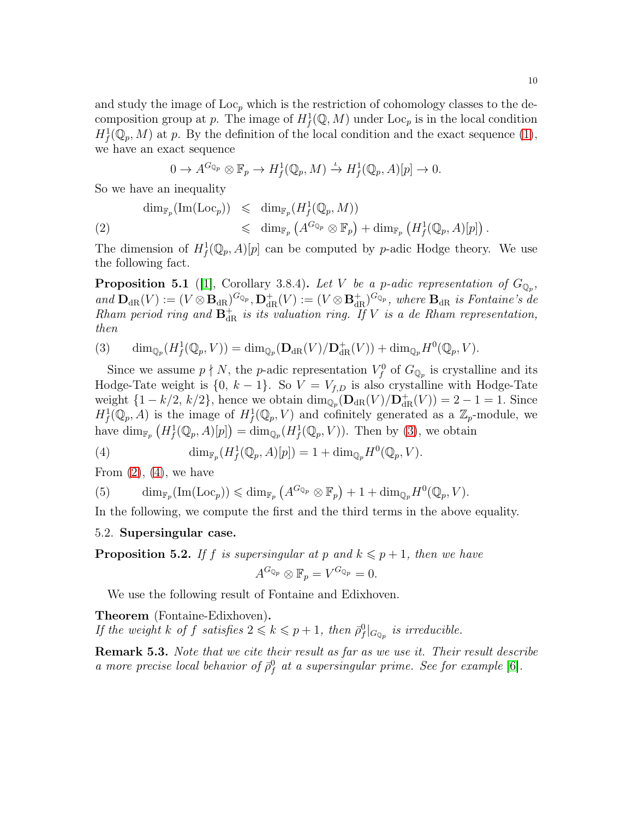and study the image of  $Loc<sub>p</sub>$  which is the restriction of cohomology classes to the decomposition group at p. The image of  $H^1_f(\mathbb{Q}, M)$  under  $\text{Loc}_p$  is in the local condition  $H^1_f(\mathbb{Q}_p, M)$  at p. By the definition of the local condition and the exact sequence [\(1\)](#page-4-1), we have an exact sequence

$$
0 \to A^{G_{\mathbb{Q}_p}} \otimes \mathbb{F}_p \to H^1_f(\mathbb{Q}_p, M) \xrightarrow{\iota} H^1_f(\mathbb{Q}_p, A)[p] \to 0.
$$

So we have an inequality

<span id="page-9-1"></span>
$$
\dim_{\mathbb{F}_p}(\text{Im}(\text{Loc}_p)) \leq \dim_{\mathbb{F}_p}(H^1_f(\mathbb{Q}_p, M))
$$
\n
$$
\leq \dim_{\mathbb{F}_p}(A^{G_{\mathbb{Q}_p}} \otimes \mathbb{F}_p) + \dim_{\mathbb{F}_p}(H^1_f(\mathbb{Q}_p, A)[p]).
$$

The dimension of  $H^1_f(\mathbb{Q}_p, A)[p]$  can be computed by p-adic Hodge theory. We use the following fact.

**Proposition 5.1** ([\[1\]](#page-22-2), Corollary 3.8.4). Let V be a p-adic representation of  $G_{\mathbb{Q}_p}$ ,  $and \ \mathbf{D}_{dR}(V) := (V \otimes \mathbf{B}_{dR})^{G_{\mathbb{Q}_p}}, \mathbf{D}_{dR}^+(V) := (V \otimes \mathbf{B}_{dR}^+)^{G_{\mathbb{Q}_p}}, \ where \ \mathbf{B}_{dR} \ \text{is Fontaine's de}$ *Rham period ring and*  $\mathbf{B}_{dR}^+$  *is its valuation ring. If* V *is a de Rham representation, then*

<span id="page-9-0"></span>(3) 
$$
\dim_{\mathbb{Q}_p}(H^1_f(\mathbb{Q}_p,V)) = \dim_{\mathbb{Q}_p}(\mathbf{D}_{\mathrm{dR}}(V)/\mathbf{D}^+_{\mathrm{dR}}(V)) + \dim_{\mathbb{Q}_p}H^0(\mathbb{Q}_p,V).
$$

Since we assume  $p \nmid N$ , the *p*-adic representation  $V_f^0$  of  $G_{\mathbb{Q}_p}$  is crystalline and its Hodge-Tate weight is  $\{0, k-1\}$ . So  $V = V_{f,D}$  is also crystalline with Hodge-Tate weight  $\{1 - k/2, k/2\}$ , hence we obtain  $\dim_{\mathbb{Q}_p}(\mathbf{D}_{dR}(V)/\mathbf{D}_{dR}^+(V)) = 2 - 1 = 1$ . Since  $H^1_f(\mathbb{Q}_p, A)$  is the image of  $H^1_f(\mathbb{Q}_p, V)$  and cofinitely generated as a  $\mathbb{Z}_p$ -module, we have  $\dim_{\mathbb{F}_p} (H^1_f(\mathbb{Q}_p, A)[p]) = \dim_{\mathbb{Q}_p} (H^1_f(\mathbb{Q}_p, V)).$  Then by [\(3\)](#page-9-0), we obtain

<span id="page-9-2"></span>(4) 
$$
\dim_{\mathbb{F}_p}(H^1_f(\mathbb{Q}_p,A)[p]) = 1 + \dim_{\mathbb{Q}_p}H^0(\mathbb{Q}_p,V).
$$

From  $(2)$ ,  $(4)$ , we have

<span id="page-9-4"></span>(5) 
$$
\dim_{\mathbb{F}_p}(\text{Im}(\text{Loc}_p)) \leqslant \dim_{\mathbb{F}_p} (A^{G_{\mathbb{Q}_p}} \otimes \mathbb{F}_p) + 1 + \dim_{\mathbb{Q}_p} H^0(\mathbb{Q}_p, V).
$$

In the following, we compute the first and the third terms in the above equality.

### 5.2. Supersingular case.

<span id="page-9-3"></span>**Proposition 5.2.** If f is supersingular at p and  $k \leq p+1$ , then we have

$$
A^{G_{\mathbb{Q}_p}} \otimes \mathbb{F}_p = V^{G_{\mathbb{Q}_p}} = 0.
$$

We use the following result of Fontaine and Edixhoven.

Theorem (Fontaine-Edixhoven).

*If the weight*  $k$  *of*  $f$  *satisfies*  $2 \leq k \leq p+1$ *, then*  $\bar{\rho}_f^0|_{G_{\mathbb{Q}_p}}$  *is irreducible.* 

**Remark 5.3.** *Note that we cite their result as far as we use it. Their result describe a* more precise local behavior of  $\bar{\rho}_f^0$  at a supersingular prime. See for example [\[6\]](#page-22-3).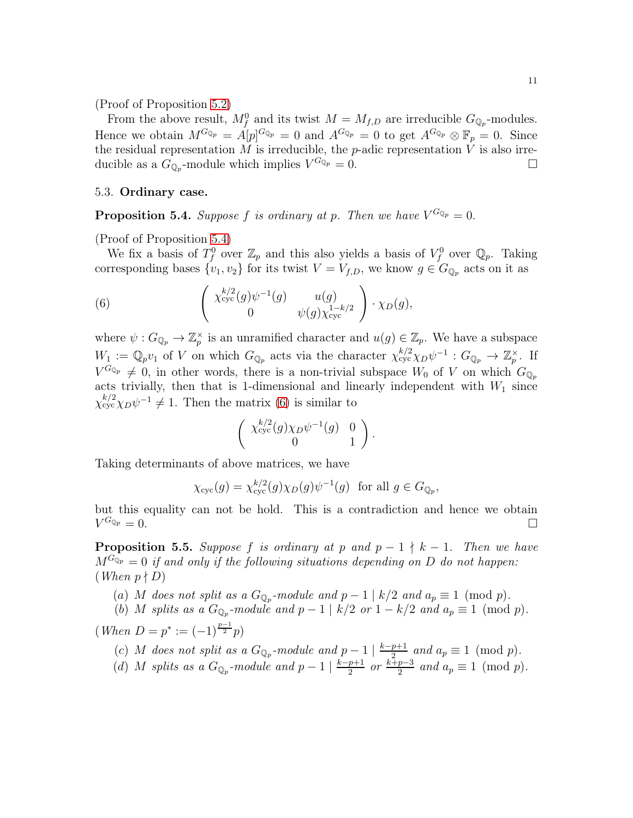(Proof of Proposition [5.2\)](#page-9-3)

From the above result,  $M_f^0$  and its twist  $M = M_{f,D}$  are irreducible  $G_{\mathbb{Q}_p}$ -modules. Hence we obtain  $M^{G_{\mathbb{Q}_p}} = A[p]^{G_{\mathbb{Q}_p}} = 0$  and  $A^{G_{\mathbb{Q}_p}} = 0$  to get  $A^{G_{\mathbb{Q}_p}} \otimes \mathbb{F}_p = 0$ . Since the residual representation M is irreducible, the p-adic representation  $\hat{V}$  is also irreducible as a  $G_{\mathbb{Q}_p}$ -module which implies  $V^{G_{\mathbb{Q}_p}} = 0$ .

#### 5.3. Ordinary case.

<span id="page-10-0"></span>**Proposition 5.4.** *Suppose* f *is ordinary at p. Then we have*  $V^{G_{\mathbb{Q}_p}} = 0$ .

(Proof of Proposition [5.4\)](#page-10-0)

We fix a basis of  $T_f^0$  over  $\mathbb{Z}_p$  and this also yields a basis of  $V_f^0$  over  $\mathbb{Q}_p$ . Taking corresponding bases  $\{v_1, v_2\}$  for its twist  $V = V_{f,D}$ , we know  $g \in G_{\mathbb{Q}_p}$  acts on it as

<span id="page-10-1"></span>(6) 
$$
\begin{pmatrix} \chi_{\text{cyc}}^{k/2}(g)\psi^{-1}(g) & u(g) \\ 0 & \psi(g)\chi_{\text{cyc}}^{1-k/2} \end{pmatrix} \cdot \chi_D(g),
$$

where  $\psi: G_{\mathbb{Q}_p} \to \mathbb{Z}_p^{\times}$  is an unramified character and  $u(g) \in \mathbb{Z}_p$ . We have a subspace  $W_1 := \mathbb{Q}_p v_1$  of V on which  $G_{\mathbb{Q}_p}$  acts via the character  $\chi_{\text{cyc}}^{k/2} \chi_D \psi^{-1} : G_{\mathbb{Q}_p} \to \mathbb{Z}_p^{\times}$ . If  $V^{G_{\mathbb{Q}_p}} \neq 0$ , in other words, there is a non-trivial subspace  $W_0$  of V on which  $G_{\mathbb{Q}_p}$ acts trivially, then that is 1-dimensional and linearly independent with  $W_1$  since  $\chi_{\rm cyc}^{k/2} \chi_D \psi^{-1} \neq 1$ . Then the matrix [\(6\)](#page-10-1) is similar to

$$
\left(\begin{array}{cc} \chi_{\rm cyc}^{k/2}(g)\chi_D\psi^{-1}(g) & 0\\ 0 & 1 \end{array}\right).
$$

Taking determinants of above matrices, we have

$$
\chi_{\text{cyc}}(g) = \chi_{\text{cyc}}^{k/2}(g) \chi_D(g) \psi^{-1}(g) \text{ for all } g \in G_{\mathbb{Q}_p},
$$

but this equality can not be hold. This is a contradiction and hence we obtain  $V^{G_{\mathbb{Q}_p}}=0.$  $^{G_{\mathbb{Q}_p}}=0.$ 

<span id="page-10-2"></span>**Proposition 5.5.** Suppose f is ordinary at p and  $p - 1 \nmid k - 1$ . Then we have  $M^{G_{\mathbb{Q}_p}} = 0$  *if and only if the following situations depending on* D *do not happen:*  $(When p \nmid D)$ 

- (a) M does not split as a  $G_{\mathbb{Q}_p}$ -module and  $p-1 \mid k/2$  and  $a_p \equiv 1 \pmod{p}$ .
- (b) M splits as a  $G_{\mathbb{Q}_p}$ -module and  $p-1 \mid k/2$  or  $1-k/2$  and  $a_p \equiv 1 \pmod{p}$ .

 $(When D = p^* := (-1)^{\frac{p-1}{2}}p)$ 

- (c) M does not split as a  $G_{\mathbb{Q}_p}$ -module and  $p-1 \mid \frac{k-p+1}{2}$  and  $a_p \equiv 1 \pmod{p}$ .
- (d) M *splits as a*  $G_{\mathbb{Q}_p}$ -module and  $p-1 \mid \frac{k-p+1}{2}$  or  $\frac{k+p-3}{2}$  and  $a_p \equiv 1 \pmod{p}$ .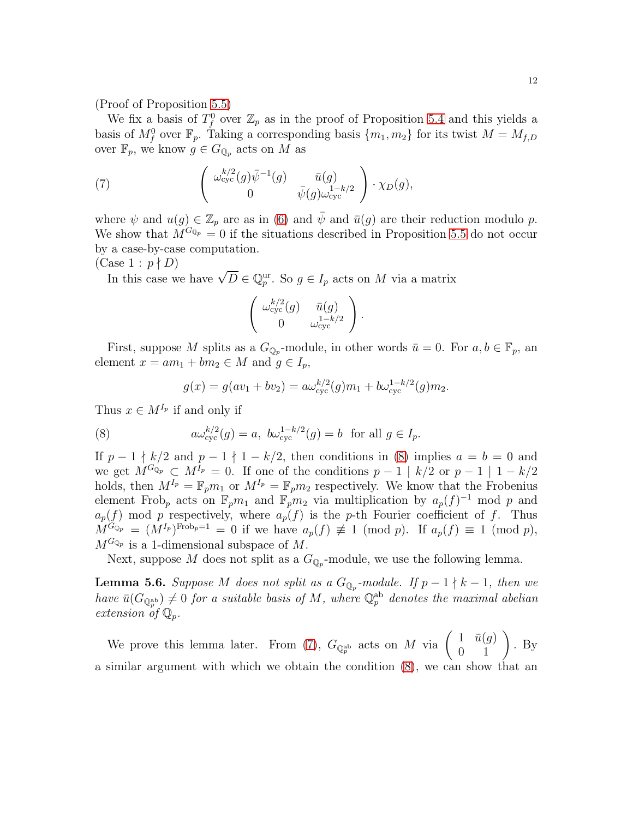(Proof of Proposition [5.5\)](#page-10-2)

We fix a basis of  $T_f^0$  over  $\mathbb{Z}_p$  as in the proof of Proposition [5.4](#page-10-0) and this yields a basis of  $M_f^0$  over  $\mathbb{F}_p$ . Taking a corresponding basis  $\{m_1, m_2\}$  for its twist  $M = M_{f,D}$ over  $\mathbb{F}_p$ , we know  $g \in G_{\mathbb{Q}_p}$  acts on M as

<span id="page-11-1"></span>(7) 
$$
\begin{pmatrix} \omega_{\text{cyc}}^{k/2}(g)\bar{\psi}^{-1}(g) & \bar{u}(g) \\ 0 & \bar{\psi}(g)\omega_{\text{cyc}}^{1-k/2} \end{pmatrix} \cdot \chi_D(g),
$$

where  $\psi$  and  $u(g) \in \mathbb{Z}_p$  are as in [\(6\)](#page-10-1) and  $\psi$  and  $\bar{u}(g)$  are their reduction modulo p. We show that  $M^{G_{\mathbb{Q}_p}}=0$  if the situations described in Proposition [5.5](#page-10-2) do not occur by a case-by-case computation.

 $(Case 1 : p \nmid D)$ 

In this case we have  $\sqrt{D} \in \mathbb{Q}_p^{\text{ur}}$ . So  $g \in I_p$  acts on M via a matrix

$$
\left(\begin{array}{cc} \omega_{\text{cyc}}^{k/2}(g) & \bar{u}(g) \\ 0 & \omega_{\text{cyc}}^{1-k/2} \end{array}\right).
$$

First, suppose M splits as a  $G_{\mathbb{Q}_p}$ -module, in other words  $\bar{u} = 0$ . For  $a, b \in \mathbb{F}_p$ , an element  $x = am_1 + bm_2 \in M$  and  $g \in I_p$ ,

<span id="page-11-0"></span>
$$
g(x) = g(av_1 + bv_2) = a\omega_{\text{cyc}}^{k/2}(g)m_1 + b\omega_{\text{cyc}}^{1-k/2}(g)m_2.
$$

Thus  $x \in M^{I_p}$  if and only if

(8) 
$$
a\omega_{\text{cyc}}^{k/2}(g) = a, \ b\omega_{\text{cyc}}^{1-k/2}(g) = b \ \text{for all } g \in I_p.
$$

If  $p-1 \nmid k/2$  and  $p-1 \nmid 1-k/2$ , then conditions in [\(8\)](#page-11-0) implies  $a = b = 0$  and we get  $M^{G_{\mathbb{Q}_p}} \subset M^{I_p} = 0$ . If one of the conditions  $p-1 \mid k/2$  or  $p-1 \mid 1-k/2$ holds, then  $M^{I_p} = \mathbb{F}_p m_1$  or  $M^{I_p} = \mathbb{F}_p m_2$  respectively. We know that the Frobenius element Frob<sub>p</sub> acts on  $\mathbb{F}_p m_1$  and  $\mathbb{F}_p m_2$  via multiplication by  $a_p(f)^{-1}$  mod p and  $a_p(f)$  mod p respectively, where  $a_p(f)$  is the p-th Fourier coefficient of f. Thus  $M^{G_{\mathbb{Q}_p}} = (M^{I_p})^{\text{Frob}_p=1} = 0$  if we have  $a_p(f) \not\equiv 1 \pmod{p}$ . If  $a_p(f) \equiv 1 \pmod{p}$ ,  $M^{G_{\mathbb{Q}_p}}$  is a 1-dimensional subspace of M.

Next, suppose M does not split as a  $G_{\mathbb{Q}_p}$ -module, we use the following lemma.

**Lemma 5.6.** Suppose M does not split as a  $G_{\mathbb{Q}_p}$ -module. If  $p-1 \nmid k-1$ , then we  $have \ \bar{u}(G_{\mathbb{Q}_p^{\rm ab}}) \neq 0$  *for a suitable basis of*  $M$ *, where*  $\mathbb{Q}_p^{\rm ab}$  *denotes the maximal abelian extension of* Qp*.*

We prove this lemma later. From [\(7\)](#page-11-1),  $G_{\mathbb{Q}_p^{\text{ab}}}$  acts on M via  $\begin{pmatrix} 1 & \bar{u}(g) \\ 0 & 1 \end{pmatrix}$ . By a similar argument with which we obtain the condition [\(8\)](#page-11-0), we can show that an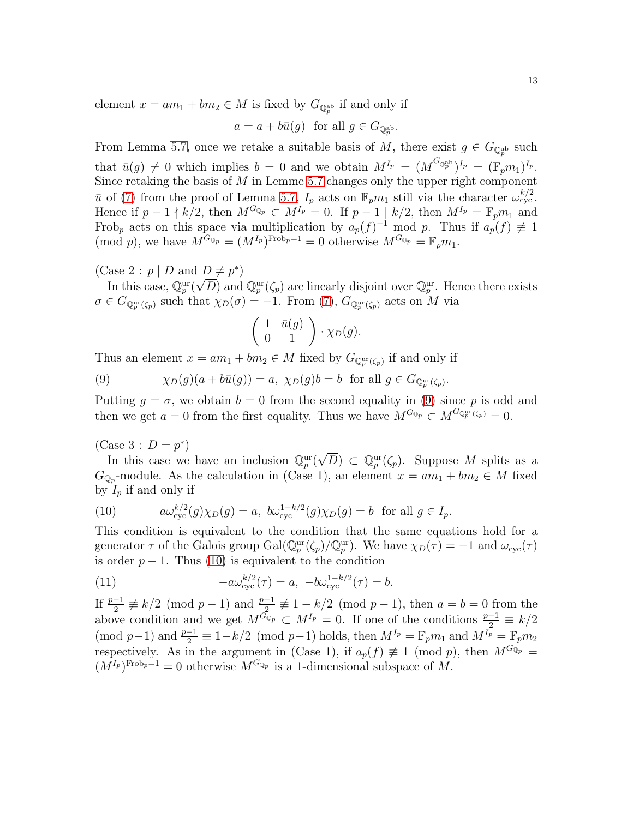element  $x = am_1 + bm_2 \in M$  is fixed by  $G_{\mathbb{Q}_p^{ab}}$  if and only if

$$
a = a + b\bar{u}(g)
$$
 for all  $g \in G_{\mathbb{Q}_p^{\mathrm{ab}}}.$ 

From Lemma [5.7,](#page-13-0) once we retake a suitable basis of M, there exist  $g \in G_{\mathbb{Q}_p^{\text{ab}}}$  such that  $\bar{u}(g) \neq 0$  which implies  $b = 0$  and we obtain  $M^{I_p} = (M^{G_{\mathbb{Q}_p^{ab}}})^{I_p} = (\mathbb{F}_p m_1)^{I_p}$ . Since retaking the basis of  $M$  in Lemme [5.7](#page-13-0) changes only the upper right component  $\bar{u}$  of [\(7\)](#page-11-1) from the proof of Lemma [5.7,](#page-13-0)  $I_p$  acts on  $\mathbb{F}_p m_1$  still via the character  $\omega_{\text{cyc}}^{k/2}$ . Hence if  $p-1 \nmid k/2$ , then  $M^{G_{\mathbb{Q}_p}} \subset M^{I_p} = 0$ . If  $p-1 \mid k/2$ , then  $M^{I_p} = \mathbb{F}_p m_1$  and Frob<sub>p</sub> acts on this space via multiplication by  $a_p(f)^{-1} \mod p$ . Thus if  $a_p(f) \not\equiv 1$ (mod p), we have  $M^{G_{\mathbb{Q}_p}} = (M^{I_p})^{\text{Frob}_p = 1} = 0$  otherwise  $M^{G_{\mathbb{Q}_p}} = \mathbb{F}_p m_1$ .

(Case 2:  $p \mid D$  and  $D \neq p^*$ )

In this case,  $\mathbb{Q}_p^{\text{ur}}(\sqrt{D})$  and  $\mathbb{Q}_p^{\text{ur}}(\zeta_p)$  are linearly disjoint over  $\mathbb{Q}_p^{\text{ur}}$ . Hence there exists  $\sigma \in G_{\mathbb{Q}_p^{\text{ur}}(\zeta_p)}$  such that  $\chi_D(\sigma) = -1$ . From [\(7\)](#page-11-1),  $G_{\mathbb{Q}_p^{\text{ur}}(\zeta_p)}$  acts on M via

$$
\left(\begin{array}{cc} 1 & \bar{u}(g) \\ 0 & 1 \end{array}\right) \cdot \chi_D(g).
$$

Thus an element  $x = am_1 + bm_2 \in M$  fixed by  $G_{\mathbb{Q}_p^{\text{ur}}(\zeta_p)}$  if and only if

<span id="page-12-0"></span>(9) 
$$
\chi_D(g)(a+b\bar{u}(g))=a, \ \chi_D(g)b=b \ \text{ for all } g\in G_{\mathbb{Q}_p^{\mathrm{ur}}(\zeta_p)}.
$$

Putting  $g = \sigma$ , we obtain  $b = 0$  from the second equality in [\(9\)](#page-12-0) since p is odd and then we get  $a = 0$  from the first equality. Thus we have  $M^{G_{\mathbb{Q}_p}} \subset M^{G_{\mathbb{Q}_p}(\zeta_p)} = 0$ .

(Case 3 :  $D = p^*$ )

In this case we have an inclusion  $\mathbb{Q}_p^{\text{ur}}(\sqrt{D}) \subset \mathbb{Q}_p^{\text{ur}}(\zeta_p)$ . Suppose M splits as a  $G_{\mathbb{Q}_p}$ -module. As the calculation in (Case 1), an element  $x = am_1 + bm_2 \in M$  fixed by  $I_p$  if and only if

<span id="page-12-1"></span>(10) 
$$
a\omega_{\text{cyc}}^{k/2}(g)\chi_D(g) = a, \ b\omega_{\text{cyc}}^{1-k/2}(g)\chi_D(g) = b \text{ for all } g \in I_p.
$$

This condition is equivalent to the condition that the same equations hold for a generator  $\tau$  of the Galois group  $Gal(\mathbb{Q}_p^{\text{ur}}(\zeta_p)/\mathbb{Q}_p^{\text{ur}})$ . We have  $\chi_D(\tau) = -1$  and  $\omega_{\text{cyc}}(\tau)$ is order  $p - 1$ . Thus [\(10\)](#page-12-1) is equivalent to the condition

<span id="page-12-2"></span>(11) 
$$
-a\omega_{\text{cyc}}^{k/2}(\tau) = a, -b\omega_{\text{cyc}}^{1-k/2}(\tau) = b.
$$

If  $\frac{p-1}{2} \not\equiv k/2 \pmod{p-1}$  and  $\frac{p-1}{2} \not\equiv 1-k/2 \pmod{p-1}$ , then  $a=b=0$  from the above condition and we get  $M^{G_{\mathbb{Q}_p}} \subset M^{I_p} = 0$ . If one of the conditions  $\frac{p-1}{2} \equiv k/2$ (mod p−1) and  $\frac{p-1}{2} \equiv 1 - k/2 \pmod{p-1}$  holds, then  $M^{I_p} = \mathbb{F}_p m_1$  and  $M^{I_p} = \mathbb{F}_p m_2$ respectively. As in the argument in (Case 1), if  $a_p(f) \not\equiv 1 \pmod{p}$ , then  $M^{G_{\mathbb{Q}_p}} =$  $(M^{I_p})^{\text{Frob}_p=1}=0$  otherwise  $M^{G_{\mathbb{Q}_p}}$  is a 1-dimensional subspace of M.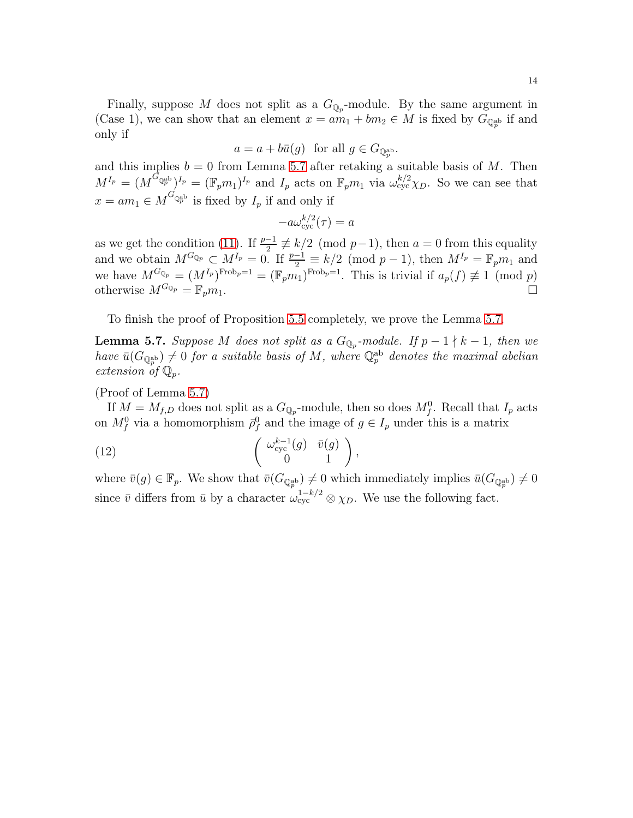Finally, suppose M does not split as a  $G_{\mathbb{Q}_p}$ -module. By the same argument in (Case 1), we can show that an element  $x = am_1 + bm_2 \in M$  is fixed by  $G_{\mathbb{Q}_p^{ab}}$  if and only if

$$
a = a + b\bar{u}(g)
$$
 for all  $g \in G_{\mathbb{Q}_p^{\mathrm{ab}}}.$ 

and this implies  $b = 0$  from Lemma [5.7](#page-13-0) after retaking a suitable basis of M. Then  $M^{I_p} = (M^{G_{\mathbb{Q}_p^{\mathrm{ab}}}})^{I_p} = (\mathbb{F}_p m_1)^{I_p}$  and  $I_p$  acts on  $\mathbb{F}_p m_1$  via  $\omega_{\text{cyc}}^{k/2} \chi_D$ . So we can see that  $x = am_1 \in M^{G_{\mathbb{Q}_p^{\mathrm{ab}}}}$  is fixed by  $I_p$  if and only if

$$
-a\omega_{\text{cyc}}^{k/2}(\tau) = a
$$

as we get the condition [\(11\)](#page-12-2). If  $\frac{p-1}{2} \not\equiv k/2 \pmod{p-1}$ , then  $a = 0$  from this equality and we obtain  $M^{G_{\mathbb{Q}_p}} \subset M^{I_p} = 0$ . If  $\frac{p-1}{2} \equiv k/2 \pmod{p-1}$ , then  $M^{I_p} = \mathbb{F}_p m_1$  and we have  $M^{G_{\mathbb{Q}_p}} = (M^{I_p})^{\text{Frob}_p=1} = (\mathbb{F}_p m_1)^{\text{Frob}_p=1}$ . This is trivial if  $a_p(f) \not\equiv 1 \pmod{p}$ otherwise  $M^{G_{\mathbb{Q}_p}} = \mathbb{F}_p m_1$ .

To finish the proof of Proposition [5.5](#page-10-2) completely, we prove the Lemma [5.7.](#page-13-0)

<span id="page-13-0"></span>**Lemma 5.7.** Suppose M does not split as a  $G_{\mathbb{Q}_p}$ -module. If  $p-1 \nmid k-1$ , then we  $have \bar{u}(G_{\mathbb{Q}_p^{\rm ab}}) \neq 0$  *for a suitable basis of*  $M$ *, where*  $\mathbb{Q}_p^{\rm ab}$  *denotes the maximal abelian extension of* Qp*.*

#### (Proof of Lemma [5.7\)](#page-13-0)

If  $M = M_{f,D}$  does not split as a  $G_{\mathbb{Q}_p}$ -module, then so does  $M_f^0$ . Recall that  $I_p$  acts on  $M_f^0$  via a homomorphism  $\bar{\rho}_f^0$  and the image of  $g \in I_p$  under this is a matrix

<span id="page-13-1"></span>(12) 
$$
\begin{pmatrix} \omega_{\text{cyc}}^{k-1}(g) & \bar{v}(g) \\ 0 & 1 \end{pmatrix},
$$

where  $\bar{v}(g) \in \mathbb{F}_p$ . We show that  $\bar{v}(G_{\mathbb{Q}_p^{\text{ab}}}) \neq 0$  which immediately implies  $\bar{u}(G_{\mathbb{Q}_p^{\text{ab}}}) \neq 0$ since  $\bar{v}$  differs from  $\bar{u}$  by a character  $\omega_{\text{cyc}}^{1-k/2} \otimes \chi_D$ . We use the following fact.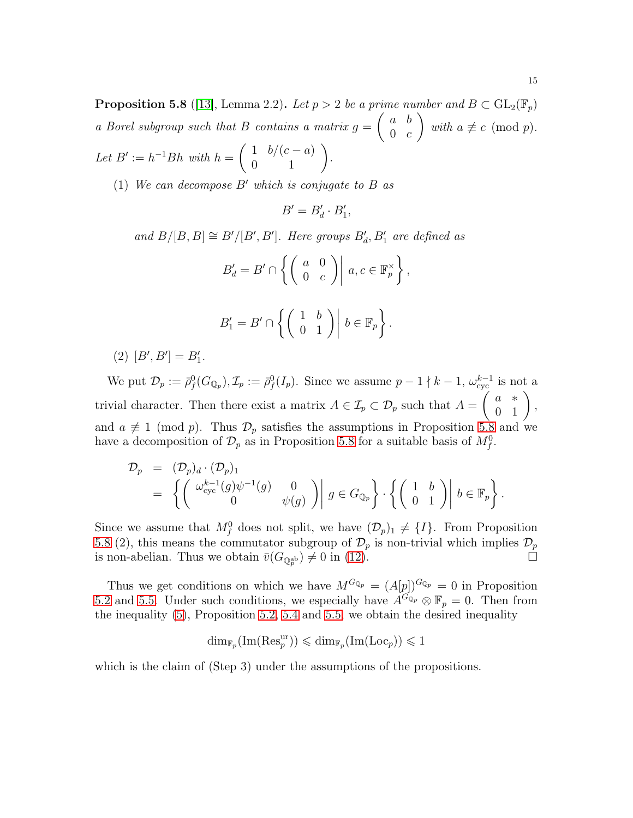<span id="page-14-0"></span>**Proposition 5.8** ([\[13\]](#page-23-5), Lemma 2.2). Let  $p > 2$  be a prime number and  $B \subset GL_2(\mathbb{F}_p)$ *a Borel subgroup such that* B *contains a matrix* g =  $\int a b$  $0 \quad c$  $\setminus$ *with*  $a \not\equiv c \pmod{p}$ . *Let*  $B' := h^{-1}Bh$  *with*  $h = \begin{pmatrix} 1 & b/(c-a) \\ 0 & 1 \end{pmatrix}$ *.* 

(1) *We can decompose* B′ *which is conjugate to* B *as*

$$
B'=B'_d\cdot B'_1,
$$

*and*  $B/[B, B] \cong B'[B', B']$ . Here groups  $B'_d$ ,  $B'_1$  are defined as

$$
B'_d = B' \cap \left\{ \begin{pmatrix} a & 0 \\ 0 & c \end{pmatrix} \middle| a, c \in \mathbb{F}_p^{\times} \right\},\
$$
  

$$
B'_1 = B' \cap \left\{ \begin{pmatrix} 1 & b \\ 0 & 1 \end{pmatrix} \middle| b \in \mathbb{F}_p \right\}.
$$

 $(2)$   $[B', B'] = B'_1.$ 

We put  $\mathcal{D}_p := \bar{\rho}_f^0(G_{\mathbb{Q}_p}), \mathcal{I}_p := \bar{\rho}_f^0(I_p)$ . Since we assume  $p-1 \nmid k-1$ ,  $\omega_{\text{cyc}}^{k-1}$  is not a trivial character. Then there exist a matrix  $A \in \mathcal{I}_p \subset \mathcal{D}_p$  such that  $A = \begin{pmatrix} a & * \\ 0 & 1 \end{pmatrix}$ , and  $a \not\equiv 1 \pmod{p}$ . Thus  $\mathcal{D}_p$  satisfies the assumptions in Proposition [5.8](#page-14-0) and we have a decomposition of  $\mathcal{D}_p$  as in Proposition [5.8](#page-14-0) for a suitable basis of  $M_f^0$ .

$$
\mathcal{D}_p = (\mathcal{D}_p)_d \cdot (\mathcal{D}_p)_1 \n= \left\{ \begin{pmatrix} \omega_{\text{cyc}}^{k-1}(g) \psi^{-1}(g) & 0 \\ 0 & \psi(g) \end{pmatrix} \middle| g \in G_{\mathbb{Q}_p} \right\} \cdot \left\{ \begin{pmatrix} 1 & b \\ 0 & 1 \end{pmatrix} \middle| b \in \mathbb{F}_p \right\}.
$$

Since we assume that  $M_f^0$  does not split, we have  $(\mathcal{D}_p)_1 \neq \{I\}$ . From Proposition [5.8](#page-14-0) (2), this means the commutator subgroup of  $\mathcal{D}_p$  is non-trivial which implies  $\mathcal{D}_p$ is non-abelian. Thus we obtain  $\bar{v}(G_{\mathbb{Q}_p^{\mathrm{ab}}}) \neq 0$  in ([12](#page-13-1)).

Thus we get conditions on which we have  $M^{G_{\mathbb{Q}_p}} = (A[p])^{G_{\mathbb{Q}_p}} = 0$  in Proposition [5.2](#page-9-3) and [5.5.](#page-10-2) Under such conditions, we especially have  $A^{G_{\mathbb{Q}_p}} \otimes \mathbb{F}_p = 0$ . Then from the inequality [\(5\)](#page-9-4), Proposition [5.2,](#page-9-3) [5.4](#page-10-0) and [5.5,](#page-10-2) we obtain the desired inequality

$$
\dim_{\mathbb{F}_p}(\mathrm{Im}(\mathrm{Res}_p^{\mathrm{ur}})) \leqslant \dim_{\mathbb{F}_p}(\mathrm{Im}(\mathrm{Loc}_p)) \leqslant 1
$$

which is the claim of (Step 3) under the assumptions of the propositions.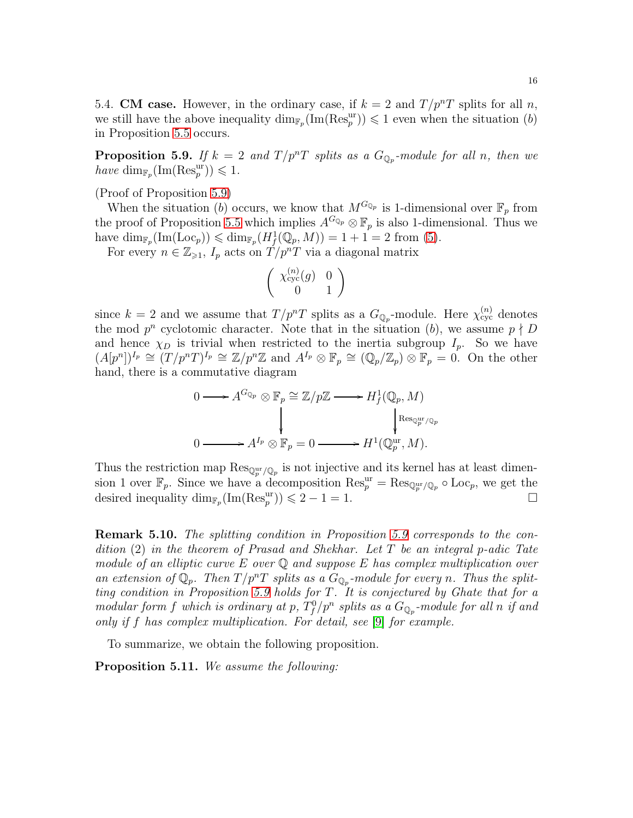5.4. CM case. However, in the ordinary case, if  $k = 2$  and  $T/p^{n}T$  splits for all n, we still have the above inequality  $\dim_{\mathbb{F}_p}(\text{Im}(\text{Res}_p^{\text{ur}})) \leq 1$  even when the situation  $(b)$ in Proposition [5.5](#page-10-2) occurs.

<span id="page-15-1"></span>**Proposition 5.9.** If  $k = 2$  and  $T/p^nT$  splits as a  $G_{\mathbb{Q}_p}$ -module for all n, then we  $have \dim_{\mathbb{F}_p}(\text{Im}(\text{Res}_p^{\text{ur}})) \leq 1.$ 

(Proof of Proposition [5.9\)](#page-15-1)

When the situation (b) occurs, we know that  $M^{G_{\mathbb{Q}_p}}$  is 1-dimensional over  $\mathbb{F}_p$  from the proof of Proposition [5.5](#page-10-2) which implies  $A^{G_{\mathbb{Q}_p}} \otimes \mathbb{F}_p$  is also 1-dimensional. Thus we have  $\dim_{\mathbb{F}_p}(\text{Im}(\text{Loc}_p)) \leqslant \dim_{\mathbb{F}_p}(H^1_f(\mathbb{Q}_p, M)) = 1 + 1 = 2$  from [\(5\)](#page-9-4).

For every  $n \in \mathbb{Z}_{\geqslant 1}$ ,  $I_p$  acts on  $T/p^nT$  via a diagonal matrix

$$
\left(\begin{array}{cc} \chi^{(n)}_{\text{cyc}}(g) & 0\\ 0 & 1 \end{array}\right)
$$

since  $k = 2$  and we assume that  $T/p^nT$  splits as a  $G_{\mathbb{Q}_p}$ -module. Here  $\chi_{\text{cyc}}^{(n)}$  denotes the mod  $p^n$  cyclotomic character. Note that in the situation (b), we assume  $p \nmid D$ and hence  $\chi_D$  is trivial when restricted to the inertia subgroup  $I_p$ . So we have  $(A[p^n])^{I_p} \cong (T/p^nT)^{I_p} \cong \mathbb{Z}/p^n\mathbb{Z}$  and  $A^{I_p} \otimes \mathbb{F}_p \cong (\mathbb{Q}_p/\mathbb{Z}_p) \otimes \mathbb{F}_p = 0$ . On the other hand, there is a commutative diagram

$$
0 \longrightarrow A^{G_{\mathbb{Q}_p}} \otimes \mathbb{F}_p \cong \mathbb{Z}/p\mathbb{Z} \longrightarrow H^1_f(\mathbb{Q}_p, M)
$$
  

$$
\downarrow \qquad \qquad \downarrow \qquad \qquad \downarrow \qquad \qquad \downarrow \qquad \qquad \downarrow \qquad \qquad \downarrow \qquad \qquad \downarrow \qquad \qquad \downarrow \qquad \qquad \downarrow \qquad \qquad \downarrow \qquad \qquad \downarrow \qquad \qquad \downarrow \qquad \qquad \downarrow \qquad \qquad \downarrow \qquad \qquad \downarrow \qquad \qquad \downarrow \qquad \qquad \downarrow \qquad \qquad \downarrow \qquad \qquad \downarrow \qquad \qquad \downarrow \qquad \qquad \downarrow \qquad \qquad \downarrow \qquad \qquad \downarrow \qquad \qquad \downarrow \qquad \qquad \downarrow \qquad \qquad \downarrow \qquad \downarrow \qquad \qquad \downarrow \qquad \downarrow \qquad \downarrow \qquad \qquad \downarrow \qquad \downarrow \qquad \qquad \downarrow \qquad \downarrow \qquad \downarrow \qquad \qquad \downarrow \qquad \downarrow \qquad \qquad \downarrow \qquad \downarrow \qquad \downarrow \qquad \downarrow \qquad \qquad \downarrow \qquad \downarrow \qquad \downarrow \qquad \downarrow \qquad \qquad \downarrow \qquad \downarrow \qquad \downarrow \qquad \downarrow \qquad \qquad \downarrow \qquad \downarrow \qquad \downarrow \qquad \downarrow \qquad \downarrow \qquad \downarrow \qquad \downarrow \qquad \downarrow \qquad \downarrow \qquad \downarrow \qquad \downarrow \qquad \downarrow \qquad \downarrow \qquad \downarrow \qquad \downarrow \qquad \downarrow \qquad \downarrow \qquad \downarrow \qquad \downarrow \qquad \downarrow \qquad \downarrow \qquad \downarrow \qquad \downarrow \qquad \downarrow \qquad \downarrow \qquad \downarrow \qquad \downarrow \qquad \downarrow \qquad \downarrow \qquad \downarrow \qquad \downarrow \qquad \downarrow \qquad \downarrow \qquad \downarrow \qquad \downarrow \qquad \downarrow \qquad \downarrow \qquad \downarrow \qquad \downarrow \qquad \downarrow \qquad \downarrow \qquad \downarrow \qquad \downarrow \qquad \downarrow \qquad \downarrow \qquad \downarrow \qquad \downarrow \qquad \downarrow \qquad \downarrow \qquad \downarrow \qquad \
$$

Thus the restriction map  $\text{Res}_{\mathbb{Q}_p^{\text{ur}}/\mathbb{Q}_p}$  is not injective and its kernel has at least dimension 1 over  $\mathbb{F}_p$ . Since we have a decomposition  $\text{Res}_p^{\text{ur}} = \text{Res}_{\mathbb{Q}_p^{\text{ur}}/\mathbb{Q}_p} \circ \text{Loc}_p$ , we get the desired inequality  $\dim_{\mathbb{F}_p}(\text{Im}(\text{Res}_p^{\text{ur}})) \leq 2 - 1 = 1.$ 

Remark 5.10. *The splitting condition in Proposition [5.9](#page-15-1) corresponds to the condition* (2) *in the theorem of Prasad and Shekhar. Let* T *be an integral* p*-adic Tate module of an elliptic curve* E *over* Q *and suppose* E *has complex multiplication over* an extension of  $\mathbb{Q}_p$ . Then  $T/p^nT$  splits as a  $G_{\mathbb{Q}_p}$ -module for every n. Thus the split*ting condition in Proposition [5.9](#page-15-1) holds for* T*. It is conjectured by Ghate that for a modular form f which is ordinary at p,*  $T_f^0/p^n$  splits as a  $G_{\mathbb{Q}_p}$ -module for all n if and *only if* f *has complex multiplication. For detail, see* [\[9\]](#page-22-4) *for example.*

To summarize, we obtain the following proposition.

<span id="page-15-0"></span>Proposition 5.11. *We assume the following:*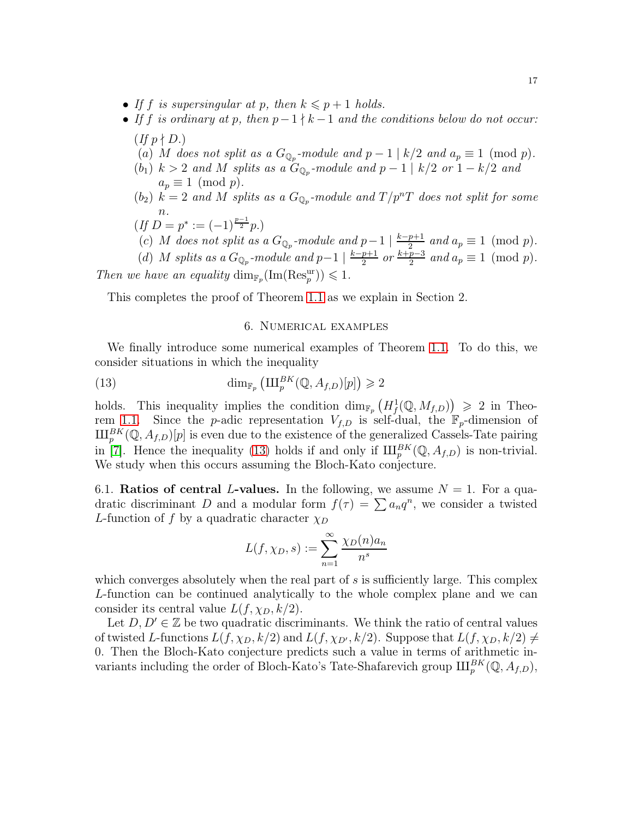- If f is supersingular at p, then  $k \leq p+1$  holds.
- *If* f *is ordinary at* p*, then* p−1 ∤ k −1 *and the conditions below do not occur:*  $(f f p \nmid D.)$ 
	- (a) M does not split as a  $G_{\mathbb{Q}_p}$ -module and  $p-1 \mid k/2$  and  $a_p \equiv 1 \pmod{p}$ .
	- $(b_1)$   $k > 2$  *and*  $M$  *splits as a*  $G_{\mathbb{Q}_p}$ -module and  $p 1 \mid k/2$  *or*  $1 k/2$  *and*  $a_p \equiv 1 \pmod{p}$ .
	- $(b_2)$   $\vec{k} = 2$  and M splits as a  $G_{\mathbb{Q}_p}$ -module and  $T/p^nT$  does not split for some n*.*

$$
(If D = p^* := (-1)^{\frac{p-1}{2}}p.)
$$

(c) M does not split as a  $G_{\mathbb{Q}_p}$ -module and  $p-1 \mid \frac{k-p+1}{2}$  and  $a_p \equiv 1 \pmod{p}$ .

(d) M *splits as a*  $G_{\mathbb{Q}_p}$ -module and  $p-1 \mid \frac{k-p+1}{2}$  or  $\frac{k+p-3}{2}$  and  $a_p \equiv 1 \pmod{p}$ . *Then we have an equality*  $\dim_{\mathbb{F}_p}(\text{Im}(Res_p^{\text{ur}})) \leq 1$ *.* 

This completes the proof of Theorem [1.1](#page-1-0) as we explain in Section 2.

### <span id="page-16-0"></span>6. Numerical examples

We finally introduce some numerical examples of Theorem [1.1.](#page-1-0) To do this, we consider situations in which the inequality

(13) 
$$
\dim_{\mathbb{F}_p} \left( \amalg_{p}^{BK}(\mathbb{Q}, A_{f,D})[p] \right) \geqslant 2
$$

holds. This inequality implies the condition  $\dim_{\mathbb{F}_p}(H^1_f(\mathbb{Q},M_{f,D})) \geq 2$  in Theo-rem [1.1.](#page-1-0) Since the *p*-adic representation  $V_{f,D}$  is self-dual, the  $\mathbb{F}_p$ -dimension of  $\amalg_{p}^{BK}(\mathbb{Q},A_{f,D})[p]$  is even due to the existence of the generalized Cassels-Tate pairing in [\[7\]](#page-22-5). Hence the inequality [\(13\)](#page-16-0) holds if and only if  $\amalg_{p}^{BK}(\mathbb{Q},A_{f,D})$  is non-trivial. We study when this occurs assuming the Bloch-Kato conjecture.

6.1. **Ratios of central L-values.** In the following, we assume  $N = 1$ . For a quadratic discriminant D and a modular form  $f(\tau) = \sum a_n q^n$ , we consider a twisted L-function of f by a quadratic character  $\chi_D$ 

$$
L(f, \chi_D, s) := \sum_{n=1}^{\infty} \frac{\chi_D(n) a_n}{n^s}
$$

which converges absolutely when the real part of  $s$  is sufficiently large. This complex L-function can be continued analytically to the whole complex plane and we can consider its central value  $L(f, \chi_D, k/2)$ .

Let  $D, D' \in \mathbb{Z}$  be two quadratic discriminants. We think the ratio of central values of twisted L-functions  $L(f, \chi_D, k/2)$  and  $L(f, \chi_{D'}, k/2)$ . Suppose that  $L(f, \chi_D, k/2) \neq$ 0. Then the Bloch-Kato conjecture predicts such a value in terms of arithmetic invariants including the order of Bloch-Kato's Tate-Shafarevich group  $\amalg_{p}^{BK}(\mathbb{Q},A_{f,D}),$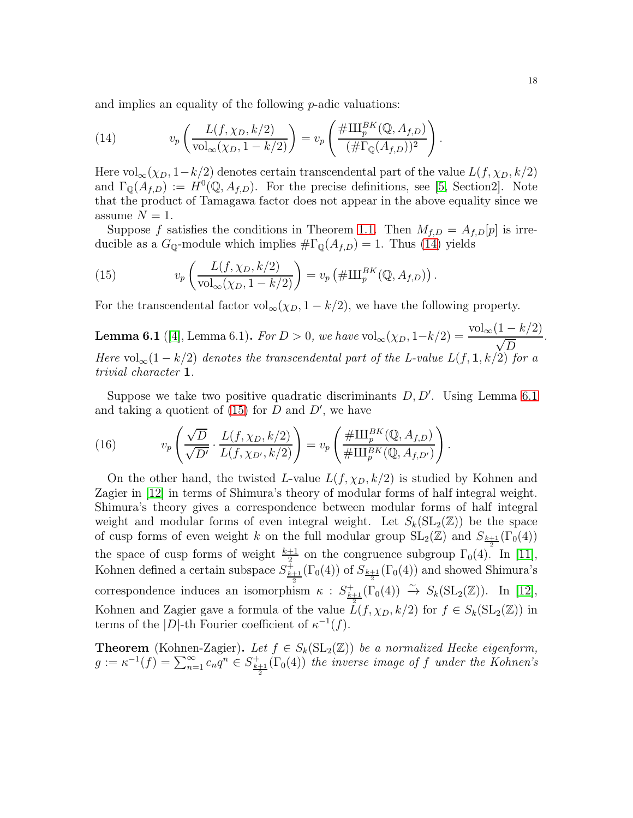and implies an equality of the following  $p$ -adic valuations:

<span id="page-17-0"></span>(14) 
$$
v_p\left(\frac{L(f,\chi_D,k/2)}{\mathrm{vol}_{\infty}(\chi_D,1-k/2)}\right) = v_p\left(\frac{\#\amalg_p^{BK}(\mathbb{Q},A_{f,D})}{(\#\Gamma_{\mathbb{Q}}(A_{f,D}))^2}\right).
$$

Here  $\text{vol}_{\infty}(\chi_D, 1-k/2)$  denotes certain transcendental part of the value  $L(f, \chi_D, k/2)$ and  $\Gamma_{\mathbb{Q}}(A_{f,D}) := H^0(\mathbb{Q}, A_{f,D})$ . For the precise definitions, see [\[5,](#page-22-6) Section2]. Note that the product of Tamagawa factor does not appear in the above equality since we assume  $N = 1$ .

Suppose f satisfies the conditions in Theorem [1.1.](#page-1-0) Then  $M_{f,D} = A_{f,D}[p]$  is irreducible as a  $G_{\mathbb{Q}}$ -module which implies  $\#\Gamma_{\mathbb{Q}}(A_{f,D}) = 1$ . Thus [\(14\)](#page-17-0) yields

<span id="page-17-2"></span>(15) 
$$
v_p\left(\frac{L(f,\chi_D,k/2)}{\mathrm{vol}_{\infty}(\chi_D,1-k/2)}\right) = v_p\left(\#\amalg_p^{BK}(\mathbb{Q},A_{f,D})\right).
$$

For the transcendental factor  $\text{vol}_{\infty}(\chi_D, 1 - k/2)$ , we have the following property.

<span id="page-17-1"></span>**Lemma 6.1** ([\[4\]](#page-22-1), Lemma 6.1). *For*  $D > 0$ *, we have*  $vol_{\infty}(\chi_D, 1 - k/2) = \frac{vol_{\infty}(1 - k/2)}{\sqrt{D}}$ *Here*  $vol_{\infty}(1 - k/2)$  *denotes the transcendental part of the L-value*  $L(f, 1, k/2)$  *for a trivial character* 1*.*

Suppose we take two positive quadratic discriminants  $D, D'$ . Using Lemma [6.1](#page-17-1) and taking a quotient of  $(15)$  for D and D', we have

<span id="page-17-3"></span>(16) 
$$
v_p\left(\frac{\sqrt{D}}{\sqrt{D'}}\cdot\frac{L(f,\chi_D,k/2)}{L(f,\chi_{D'},k/2)}\right) = v_p\left(\frac{\#\amalg_p^{BK}(\mathbb{Q},A_{f,D})}{\#\amalg_p^{BK}(\mathbb{Q},A_{f,D'})}\right).
$$

On the other hand, the twisted L-value  $L(f, \chi_D, k/2)$  is studied by Kohnen and Zagier in [\[12\]](#page-23-6) in terms of Shimura's theory of modular forms of half integral weight. Shimura's theory gives a correspondence between modular forms of half integral weight and modular forms of even integral weight. Let  $S_k(SL_2(\mathbb{Z}))$  be the space of cusp forms of even weight k on the full modular group  $SL_2(\mathbb{Z})$  and  $S_{\frac{k+1}{2}}(\Gamma_0(4))$ the space of cusp forms of weight  $\frac{k+1}{2}$  on the congruence subgroup  $\Gamma_0(4)$ . In [\[11\]](#page-23-7), Kohnen defined a certain subspace  $S^{\pm}_{\frac{k+1}{2}}(\Gamma_0(4))$  of  $S_{\frac{k+1}{2}}(\Gamma_0(4))$  and showed Shimura's correspondence induces an isomorphism  $\kappa$  :  $S_{\frac{k+1}{2}}^+(\Gamma_0(4)) \stackrel{\sim}{\rightarrow} S_k(\mathrm{SL}_2(\mathbb{Z}))$ . In [\[12\]](#page-23-6), Kohnen and Zagier gave a formula of the value  $\hat{L}(f, \chi_D, k/2)$  for  $f \in S_k(SL_2(\mathbb{Z}))$  in terms of the |D|-th Fourier coefficient of  $\kappa^{-1}(f)$ .

**Theorem** (Kohnen-Zagier). Let  $f \in S_k(SL_2(\mathbb{Z}))$  be a normalized Hecke eigenform,  $g := \kappa^{-1}(f) = \sum_{n=1}^{\infty} c_n q^n \in S^+_{\frac{k+1}{2}}(\Gamma_0(4))$  *the inverse image of* f *under the Kohnen's* 

*.*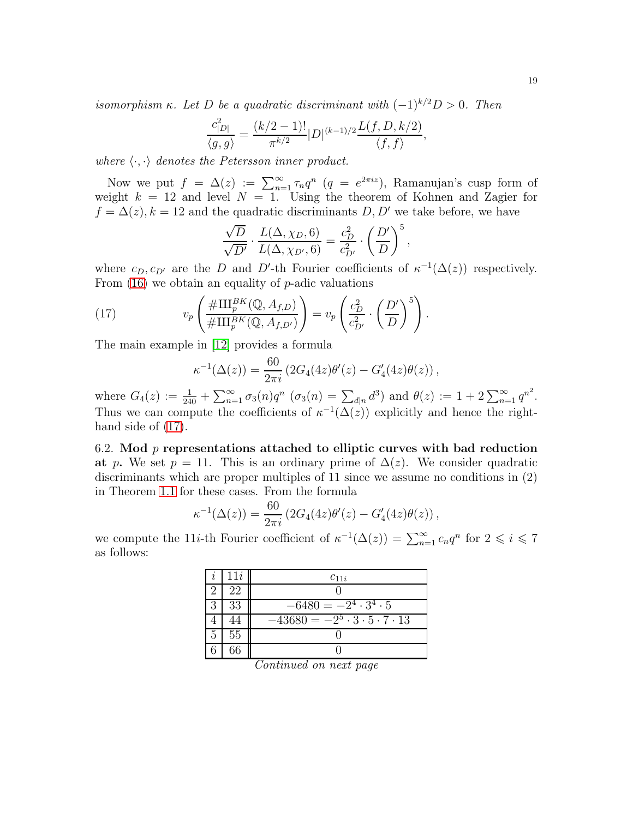*isomorphism*  $\kappa$ *. Let*  $D$  *be a quadratic discriminant with*  $(-1)^{k/2}D > 0$ *. Then* 

$$
\frac{c_{|D|}^2}{\langle g, g \rangle} = \frac{(k/2 - 1)!}{\pi^{k/2}} |D|^{(k-1)/2} \frac{L(f, D, k/2)}{\langle f, f \rangle},
$$

where  $\langle \cdot, \cdot \rangle$  *denotes the Petersson inner product.* 

Now we put  $f = \Delta(z) := \sum_{n=1}^{\infty} \tau_n q^n$   $(q = e^{2\pi i z})$ , Ramanujan's cusp form of weight  $k = 12$  and level  $N = 1$ . Using the theorem of Kohnen and Zagier for  $f = \Delta(z)$ ,  $k = 12$  and the quadratic discriminants D, D' we take before, we have

$$
\frac{\sqrt{D}}{\sqrt{D'}} \cdot \frac{L(\Delta, \chi_D, 6)}{L(\Delta, \chi_{D'}, 6)} = \frac{c_D^2}{c_{D'}^2} \cdot \left(\frac{D'}{D}\right)^5,
$$

where  $c_D, c_{D'}$  are the D and D'-th Fourier coefficients of  $\kappa^{-1}(\Delta(z))$  respectively. From  $(16)$  we obtain an equality of p-adic valuations

(17) 
$$
v_p\left(\frac{\#\amalg_p^{BK}(\mathbb{Q},A_{f,D})}{\#\amalg_p^{BK}(\mathbb{Q},A_{f,D'})}\right) = v_p\left(\frac{c_D^2}{c_{D'}^2}\cdot\left(\frac{D'}{D}\right)^5\right).
$$

The main example in [\[12\]](#page-23-6) provides a formula

<span id="page-18-0"></span>
$$
\kappa^{-1}(\Delta(z)) = \frac{60}{2\pi i} \left( 2G_4(4z)\theta'(z) - G'_4(4z)\theta(z) \right),
$$

where  $G_4(z) := \frac{1}{240} + \sum_{n=1}^{\infty} \sigma_3(n) q^n$   $(\sigma_3(n) = \sum_{d|n} d^3)$  and  $\theta(z) := 1 + 2 \sum_{n=1}^{\infty} q^{n^2}$ . Thus we can compute the coefficients of  $\kappa^{-1}(\Delta(z))$  explicitly and hence the righthand side of  $(17)$ .

6.2. Mod  $p$  representations attached to elliptic curves with bad reduction at p. We set  $p = 11$ . This is an ordinary prime of  $\Delta(z)$ . We consider quadratic discriminants which are proper multiples of 11 since we assume no conditions in (2) in Theorem [1.1](#page-1-0) for these cases. From the formula

$$
\kappa^{-1}(\Delta(z)) = \frac{60}{2\pi i} \left( 2G_4(4z)\theta'(z) - G'_4(4z)\theta(z) \right),
$$

we compute the 11*i*-th Fourier coefficient of  $\kappa^{-1}(\Delta(z)) = \sum_{n=1}^{\infty} c_n q^n$  for  $2 \leq i \leq 7$ as follows:

| $\imath$ | 11i | $c_{11i}$                                        |
|----------|-----|--------------------------------------------------|
|          | 22  |                                                  |
| 3        | 33  | $-6480 = -2^4 \cdot 3^4 \cdot 5$                 |
|          |     | $-43680 = -2^5 \cdot 3 \cdot 5 \cdot 7 \cdot 13$ |
| 5        | 55  |                                                  |
|          | 66  |                                                  |

*Continued on next page*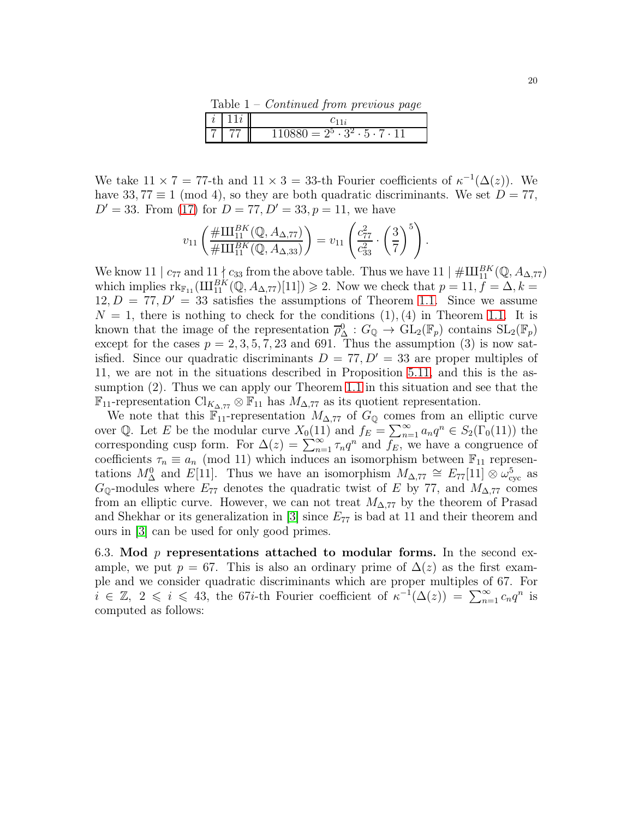Table 1 – *Continued from previous page*

|                     | <br>. .                                        |
|---------------------|------------------------------------------------|
| $\cdot$<br>$\Delta$ |                                                |
|                     | $880 = 2^5 \cdot 3^2 \cdot 5 \cdot 7 \cdot 11$ |

We take  $11 \times 7 = 77$ -th and  $11 \times 3 = 33$ -th Fourier coefficients of  $\kappa^{-1}(\Delta(z))$ . We have 33, 77  $\equiv$  1 (mod 4), so they are both quadratic discriminants. We set  $D = 77$ ,  $D' = 33$ . From [\(17\)](#page-18-0) for  $D = 77, D' = 33, p = 11$ , we have

$$
v_{11}\left(\frac{\# \Pi_{11}^{BK}(\mathbb{Q}, A_{\Delta,77})}{\# \Pi_{11}^{BK}(\mathbb{Q}, A_{\Delta,33})}\right) = v_{11}\left(\frac{c_{77}^2}{c_{33}^2} \cdot \left(\frac{3}{7}\right)^5\right).
$$

We know 11 |  $c_{77}$  and  $11 \nmid c_{33}$  from the above table. Thus we have  $11 \mid \# \amalg_{11}^{BK}(\mathbb{Q}, A_{\Delta, 77})$ which implies  $\text{rk}_{\mathbb{F}_{11}}(\text{III}_{11}^{BK}(\mathbb{Q},A_{\Delta,77})[11]) \geq 2$ . Now we check that  $p = 11, f = \Delta, k =$  $12, D = 77, D' = 33$  satisfies the assumptions of Theorem [1.1.](#page-1-0) Since we assume  $N = 1$ , there is nothing to check for the conditions  $(1), (4)$  in Theorem [1.1.](#page-1-0) It is known that the image of the representation  $\overline{\rho}_{\Delta}^{0}$  :  $G_{\mathbb{Q}} \to GL_2(\mathbb{F}_p)$  contains  $SL_2(\mathbb{F}_p)$ except for the cases  $p = 2, 3, 5, 7, 23$  and 691. Thus the assumption (3) is now satisfied. Since our quadratic discriminants  $D = 77, D' = 33$  are proper multiples of 11, we are not in the situations described in Proposition [5.11,](#page-15-0) and this is the assumption (2). Thus we can apply our Theorem [1.1](#page-1-0) in this situation and see that the  $\mathbb{F}_{11}$ -representation Cl<sub>K∆,77</sub>  $\otimes$   $\mathbb{F}_{11}$  has  $M_{\Delta,77}$  as its quotient representation.

We note that this  $\mathbb{F}_{11}$ -representation  $M_{\Delta,77}$  of  $G_{\mathbb{Q}}$  comes from an elliptic curve over Q. Let E be the modular curve  $X_0(11)$  and  $f_E = \sum_{n=1}^{\infty} a_n q^n \in S_2(\Gamma_0(11))$  the corresponding cusp form. For  $\Delta(z) = \sum_{n=1}^{\infty} \tau_n q^n$  and  $f_E$ , we have a congruence of coefficients  $\tau_n \equiv a_n \pmod{11}$  which induces an isomorphism between  $\mathbb{F}_{11}$  representations  $M^0_\Delta$  and  $E[11]$ . Thus we have an isomorphism  $M_{\Delta,77} \cong E_{77}[11] \otimes \omega_{\text{cyc}}^5$  as  $G_{\mathbb{Q}}$ -modules where  $E_{77}$  denotes the quadratic twist of E by 77, and  $M_{\Delta,77}$  comes from an elliptic curve. However, we can not treat  $M_{\Delta,77}$  by the theorem of Prasad and Shekhar or its generalization in  $[3]$  since  $E_{77}$  is bad at 11 and their theorem and ours in [\[3\]](#page-22-0) can be used for only good primes.

6.3. Mod  $p$  representations attached to modular forms. In the second example, we put  $p = 67$ . This is also an ordinary prime of  $\Delta(z)$  as the first example and we consider quadratic discriminants which are proper multiples of 67. For  $i \in \mathbb{Z}, 2 \leq i \leq 43$ , the 67*i*-th Fourier coefficient of  $\kappa^{-1}(\Delta(z)) = \sum_{n=1}^{\infty} c_n q^n$  is computed as follows: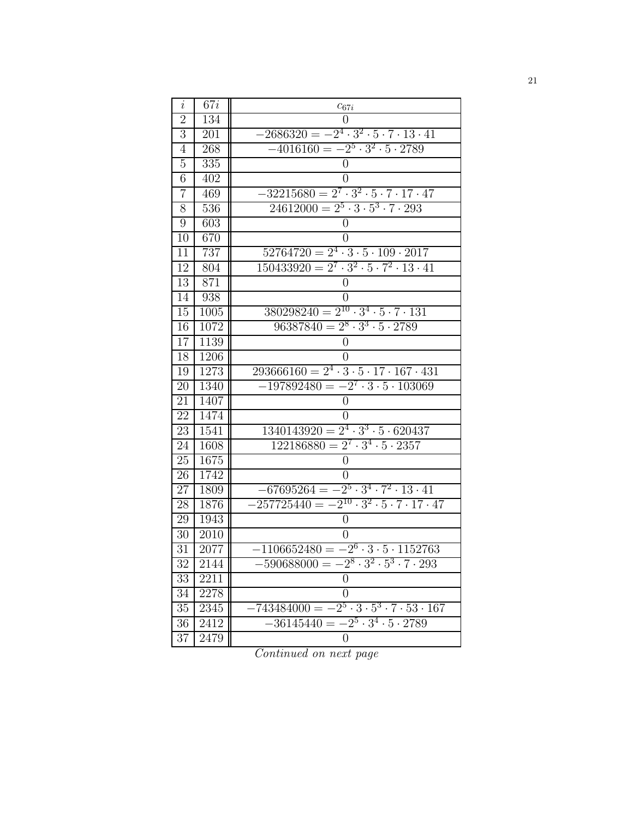| $\dot{\imath}$ | 67i               | $c_{67i}$                                                                |
|----------------|-------------------|--------------------------------------------------------------------------|
| $\overline{2}$ | 134               | $\theta$                                                                 |
| 3              | 201               | $-2686320 = -2^4 \cdot 3^2 \cdot 5 \cdot 7 \cdot 13 \cdot 41$            |
| 4              | 268               | $-4016160 = -2^5 \cdot 3^2 \cdot 5 \cdot 2789$                           |
| 5              | 335               | $\overline{0}$                                                           |
| 6              | 402               | $\overline{0}$                                                           |
| $\overline{7}$ | 469               | $-322\overline{15680} = 2^7 \cdot 3^2 \cdot 5 \cdot 7 \cdot 17 \cdot 47$ |
| 8              | 536               | $24612000 = 2^5 \cdot 3 \cdot 5^3 \cdot 7 \cdot 293$                     |
| 9              | 603               | $\overline{0}$                                                           |
| 10             | 670               | $\overline{0}$                                                           |
| 11             | 737               | $52764720 = 2^4 \cdot 3 \cdot 5 \cdot 109 \cdot 2017$                    |
| 12             | 804               | $150433920 = 2^7 \cdot 3^2 \cdot 5 \cdot 7^2 \cdot 13 \cdot 41$          |
| 13             | 871               | $\boldsymbol{0}$                                                         |
| 14             | 938               | 0                                                                        |
| 15             | 1005              | $380298240 = 2^{10} \cdot 3^4 \cdot 5 \cdot 7 \cdot 131$                 |
| 16             | 1072              | $96387840 = 2^8 \cdot 3^3 \cdot 5 \cdot 2789$                            |
| 17             | 1139              | 0                                                                        |
| 18             | 1206              | $\theta$                                                                 |
| 19             | 1273              | $293666160 = 2^4 \cdot 3 \cdot 5 \cdot 17 \cdot 167 \cdot 431$           |
| 20             | 1340              | $-197892480 = -2^7 \cdot 3 \cdot 5 \cdot 103069$                         |
| 21             | 1407              | $\overline{0}$                                                           |
| 22             | 1474              | $\theta$                                                                 |
| 23             | 1541              | $1340143920 = 2^4 \cdot 3^3 \cdot 5 \cdot 620437$                        |
| 24             | 1608              | $122186880 = 2^7 \cdot 3^4 \cdot 5 \cdot 2357$                           |
| 25             | 1675              | $\overline{0}$                                                           |
| 26             | 1742              | 0                                                                        |
| 27             | 1809              | $-67695264 = -2^5 \cdot 3^4 \cdot 7^2 \cdot 13 \cdot 41$                 |
| 28             | 1876              | $-257725440 = -2^{10} \cdot 3^2 \cdot 5 \cdot 7 \cdot 17 \cdot 47$       |
| 29             | 1943              | $\boldsymbol{0}$                                                         |
| 30             | 2010              | $\theta$                                                                 |
| 31             | $\overline{2}077$ | $-1106652480 = -2^6 \cdot 3 \cdot 5 \cdot 1152763$                       |
| 32             | 2144              | $-590688000 = -2^8 \cdot 3^2 \cdot 5^3 \cdot 7 \cdot 293$                |
| 33             | 2211              | $\overline{0}$                                                           |
| 34             | 2278              | $\overline{0}$                                                           |
| 35             | 2345              | $-743484000 = -2^5 \cdot 3 \cdot 5^3 \cdot 7 \cdot 53 \cdot 167$         |
| 36             | 2412              | $-36145440 = -2^5 \cdot 3^4 \cdot 5 \cdot 2789$                          |
| 37             | 2479              | $\overline{0}$                                                           |

*Continued on next page*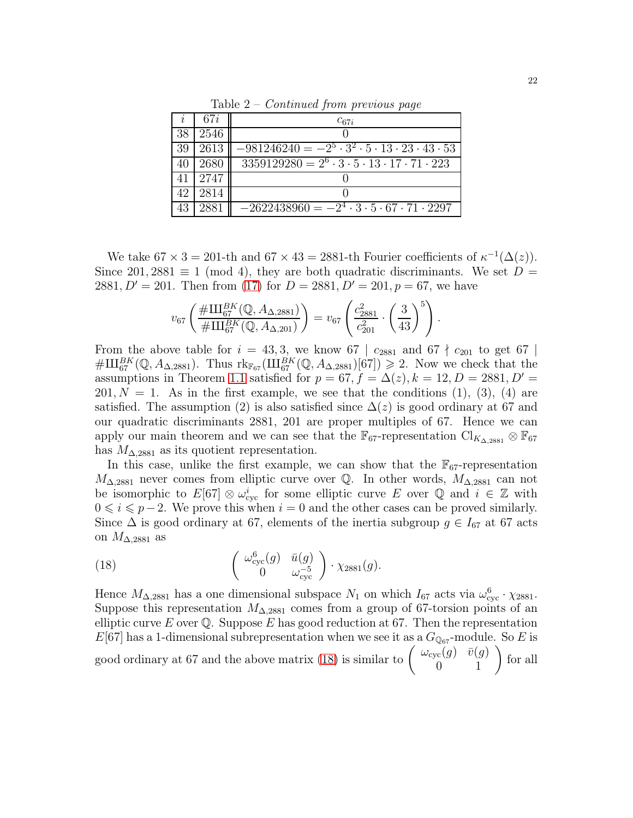|    | 67 <i>i</i> | $c_{67i}$                                                                          |
|----|-------------|------------------------------------------------------------------------------------|
| 38 | 2546        |                                                                                    |
| 39 | 2613        | $-981246240 = -2^5 \cdot 3^2 \cdot 5 \cdot 13 \cdot 23 \cdot 43 \cdot 53$          |
| 40 | 2680        | $\overline{3359129280} = 2^6 \cdot 3 \cdot 5 \cdot 13 \cdot 17 \cdot 71 \cdot 223$ |
| 41 | 2747        |                                                                                    |
| 42 | 2814        |                                                                                    |
| 43 | 2881        | $-2622438960 = -2^4 \cdot 3 \cdot 5 \cdot 67 \cdot 71 \cdot \overline{2297}$       |

Table 2 – *Continued from previous page*

We take  $67 \times 3 = 201$ -th and  $67 \times 43 = 2881$ -th Fourier coefficients of  $\kappa^{-1}(\Delta(z))$ . Since 201, 2881  $\equiv$  1 (mod 4), they are both quadratic discriminants. We set D = 2881,  $D' = 201$ . Then from [\(17\)](#page-18-0) for  $D = 2881, D' = 201, p = 67$ , we have

$$
v_{67} \left( \frac{\#III_{67}^{BK}(\mathbb{Q}, A_{\Delta,2881})}{\#III_{67}^{BK}(\mathbb{Q}, A_{\Delta,201})} \right) = v_{67} \left( \frac{c_{2881}^2}{c_{201}^2} \cdot \left( \frac{3}{43} \right)^5 \right).
$$

From the above table for  $i = 43,3$ , we know 67 |  $c_{2881}$  and 67  $\nmid c_{201}$  to get 67 |  $\#\amalg_{67}^{BK}(\mathbb{Q},A_{\Delta,2881})$ . Thus  $\text{rk}_{\mathbb{F}_{67}}(\amalg_{67}^{BK}(\mathbb{Q},A_{\Delta,2881})[67]) \geq 2$ . Now we check that the assumptions in Theorem [1.1](#page-1-0) satisfied for  $p = 67$ ,  $f = \Delta(z)$ ,  $k = 12$ ,  $D = 2881$ ,  $D' =$  $201, N = 1$ . As in the first example, we see that the conditions (1), (3), (4) are satisfied. The assumption (2) is also satisfied since  $\Delta(z)$  is good ordinary at 67 and our quadratic discriminants 2881, 201 are proper multiples of 67. Hence we can apply our main theorem and we can see that the  $\mathbb{F}_{67}$ -representation  $\text{Cl}_{K_{\Delta}$ <sub>2881</sub> ⊗  $\mathbb{F}_{67}$ has  $M_{\Delta,2881}$  as its quotient representation.

In this case, unlike the first example, we can show that the  $\mathbb{F}_{67}$ -representation  $M_{\Delta,2881}$  never comes from elliptic curve over Q. In other words,  $M_{\Delta,2881}$  can not be isomorphic to  $E[67] \otimes \omega_{\text{cyc}}^i$  for some elliptic curve E over Q and  $i \in \mathbb{Z}$  with  $0 \leq i \leq p-2$ . We prove this when  $i = 0$  and the other cases can be proved similarly. Since  $\Delta$  is good ordinary at 67, elements of the inertia subgroup  $g \in I_{67}$  at 67 acts on  $M_{\Delta,2881}$  as

<span id="page-21-0"></span>(18) 
$$
\begin{pmatrix} \omega_{\text{cyc}}^6(g) & \bar{u}(g) \\ 0 & \omega_{\text{cyc}}^{-5} \end{pmatrix} \cdot \chi_{2881}(g).
$$

Hence  $M_{\Delta,2881}$  has a one dimensional subspace  $N_1$  on which  $I_{67}$  acts via  $\omega_{\text{cyc}}^6 \cdot \chi_{2881}$ . Suppose this representation  $M_{\Delta,2881}$  comes from a group of 67-torsion points of an elliptic curve E over  $\mathbb Q$ . Suppose E has good reduction at 67. Then the representation  $E[67]$  has a 1-dimensional subrepresentation when we see it as a  $G_{\mathbb{Q}_{67}}$ -module. So E is good ordinary at 67 and the above matrix [\(18\)](#page-21-0) is similar to  $\begin{pmatrix} \omega_{\text{cyc}}(g) & \bar{v}(g) \\ 0 & 1 \end{pmatrix}$  for all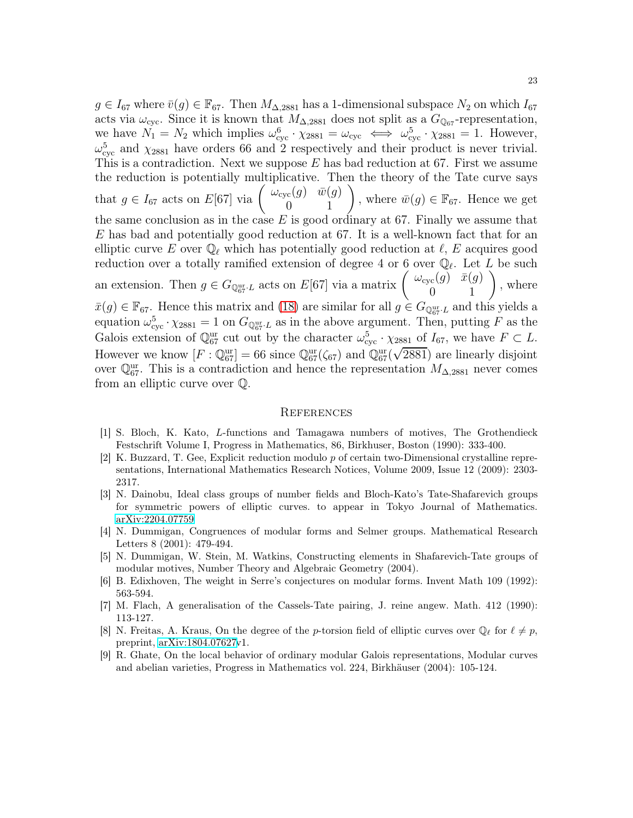$g \in I_{67}$  where  $\bar{v}(g) \in \mathbb{F}_{67}$ . Then  $M_{\Delta,2881}$  has a 1-dimensional subspace  $N_2$  on which  $I_{67}$ acts via  $\omega_{\rm cyc}$ . Since it is known that  $M_{\Delta,2881}$  does not split as a  $G_{\mathbb{Q}_{67}}$ -representation, we have  $N_1 = N_2$  which implies  $\omega_{\text{cyc}}^6 \cdot \chi_{2881} = \omega_{\text{cyc}} \iff \omega_{\text{cyc}}^5 \cdot \chi_{2881} = 1$ . However,  $\omega_{\text{cyc}}^5$  and  $\chi_{2881}$  have orders 66 and 2 respectively and their product is never trivial. This is a contradiction. Next we suppose  $E$  has bad reduction at 67. First we assume the reduction is potentially multiplicative. Then the theory of the Tate curve says that  $g \in I_{67}$  acts on  $E[67]$  via  $\begin{pmatrix} \omega_{\text{cyc}}(g) & \bar{w}(g) \\ 0 & 1 \end{pmatrix}$ , where  $\bar{w}(g) \in \mathbb{F}_{67}$ . Hence we get the same conclusion as in the case  $E$  is good ordinary at 67. Finally we assume that E has bad and potentially good reduction at 67. It is a well-known fact that for an elliptic curve E over  $\mathbb{Q}_{\ell}$  which has potentially good reduction at  $\ell$ , E acquires good reduction over a totally ramified extension of degree 4 or 6 over  $\mathbb{Q}_{\ell}$ . Let L be such an extension. Then  $g \in G_{\mathbb{Q}_{67}^{\text{ur}} \cdot L}$  acts on  $E[67]$  via a matrix  $\begin{pmatrix} \omega_{\text{cyc}}(g) & \bar{x}(g) \\ 0 & 1 \end{pmatrix}$ , where  $\bar{x}(g) \in \mathbb{F}_{67}$ . Hence this matrix and [\(18\)](#page-21-0) are similar for all  $g \in G_{\mathbb{Q}_{67}^{\text{ur}} \cdot L}$  and this yields a equation  $\omega_{\text{cyc}}^5 \cdot \chi_{2881} = 1$  on  $G_{\mathbb{Q}_{67}^{\text{ur}} \cdot L}$  as in the above argument. Then, putting F as the Galois extension of  $\mathbb{Q}_{67}^{\text{ur}}$  cut out by the character  $\omega_{cyc}^5 \cdot \chi_{2881}$  of  $I_{67}$ , we have  $F \subset L$ . However we know  $[F : \mathbb{Q}_{67}^{\text{ur}}] = 66$  since  $\mathbb{Q}_{67}^{\text{ur}}(\zeta_{67})$  and  $\mathbb{Q}_{67}^{\text{ur}}(\sqrt{2881})$  are linearly disjoint over  $\mathbb{Q}_{67}^{\text{ur}}$ . This is a contradiction and hence the representation  $M_{\Delta,2881}$  never comes from an elliptic curve over Q.

#### **REFERENCES**

- <span id="page-22-2"></span>[1] S. Bloch, K. Kato, L-functions and Tamagawa numbers of motives, The Grothendieck Festschrift Volume I, Progress in Mathematics, 86, Birkhuser, Boston (1990): 333-400.
- [2] K. Buzzard, T. Gee, Explicit reduction modulo p of certain two-Dimensional crystalline representations, International Mathematics Research Notices, Volume 2009, Issue 12 (2009): 2303- 2317.
- <span id="page-22-0"></span>[3] N. Dainobu, Ideal class groups of number fields and Bloch-Kato's Tate-Shafarevich groups for symmetric powers of elliptic curves. to appear in Tokyo Journal of Mathematics. [arXiv:2204.07759](http://arxiv.org/abs/2204.07759)
- <span id="page-22-1"></span>[4] N. Dummigan, Congruences of modular forms and Selmer groups. Mathematical Research Letters 8 (2001): 479-494.
- <span id="page-22-6"></span>[5] N. Dummigan, W. Stein, M. Watkins, Constructing elements in Shafarevich-Tate groups of modular motives, Number Theory and Algebraic Geometry (2004).
- <span id="page-22-3"></span>[6] B. Edixhoven, The weight in Serre's conjectures on modular forms. Invent Math 109 (1992): 563-594.
- <span id="page-22-5"></span>[7] M. Flach, A generalisation of the Cassels-Tate pairing, J. reine angew. Math. 412 (1990): 113-127.
- [8] N. Freitas, A. Kraus, On the degree of the p-torsion field of elliptic curves over  $\mathbb{Q}_{\ell}$  for  $\ell \neq p$ , preprint, [arXiv:1804.07627v](http://arxiv.org/abs/1804.07627)1.
- <span id="page-22-4"></span>[9] R. Ghate, On the local behavior of ordinary modular Galois representations, Modular curves and abelian varieties, Progress in Mathematics vol. 224, Birkhäuser (2004): 105-124.